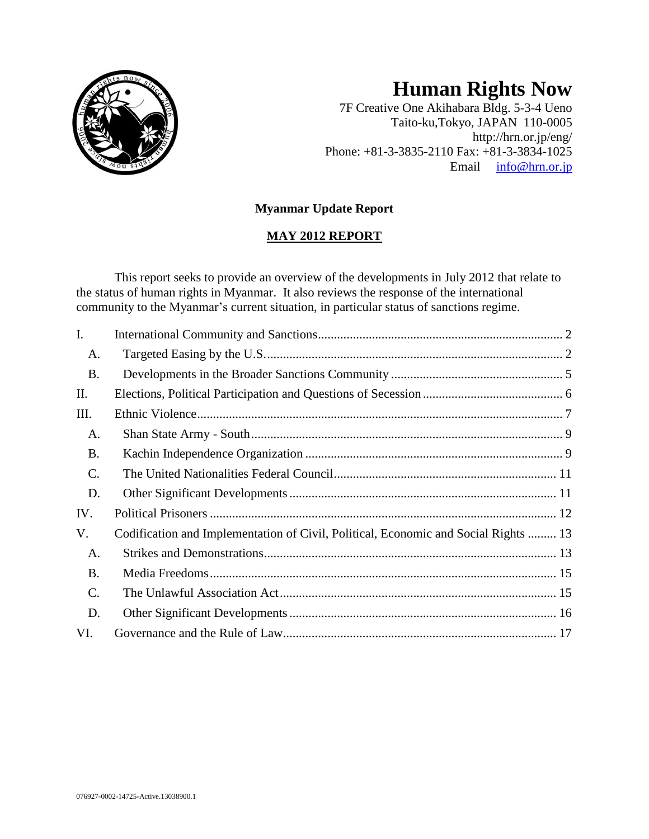

# **Human Rights Now**

7F Creative One Akihabara Bldg. 5-3-4 Ueno Taito-ku,Tokyo, JAPAN 110-0005 http://hrn.or.jp/eng/ Phone: +81-3-3835-2110 Fax: +81-3-3834-1025 Email [info@hrn.or.jp](mailto:info@hrn.or.jp)

# **Myanmar Update Report**

# **MAY 2012 REPORT**

This report seeks to provide an overview of the developments in July 2012 that relate to the status of human rights in Myanmar. It also reviews the response of the international community to the Myanmar's current situation, in particular status of sanctions regime.

| $\mathbf{I}$ . |                                                                                     |  |
|----------------|-------------------------------------------------------------------------------------|--|
| A.             |                                                                                     |  |
| <b>B.</b>      |                                                                                     |  |
| II.            |                                                                                     |  |
| Ш.             |                                                                                     |  |
| A.             |                                                                                     |  |
| <b>B.</b>      |                                                                                     |  |
| $\mathbf{C}$ . |                                                                                     |  |
| D.             |                                                                                     |  |
| IV.            |                                                                                     |  |
| V.             | Codification and Implementation of Civil, Political, Economic and Social Rights  13 |  |
| A.             |                                                                                     |  |
| <b>B.</b>      |                                                                                     |  |
| C.             |                                                                                     |  |
| D.             |                                                                                     |  |
| VI.            |                                                                                     |  |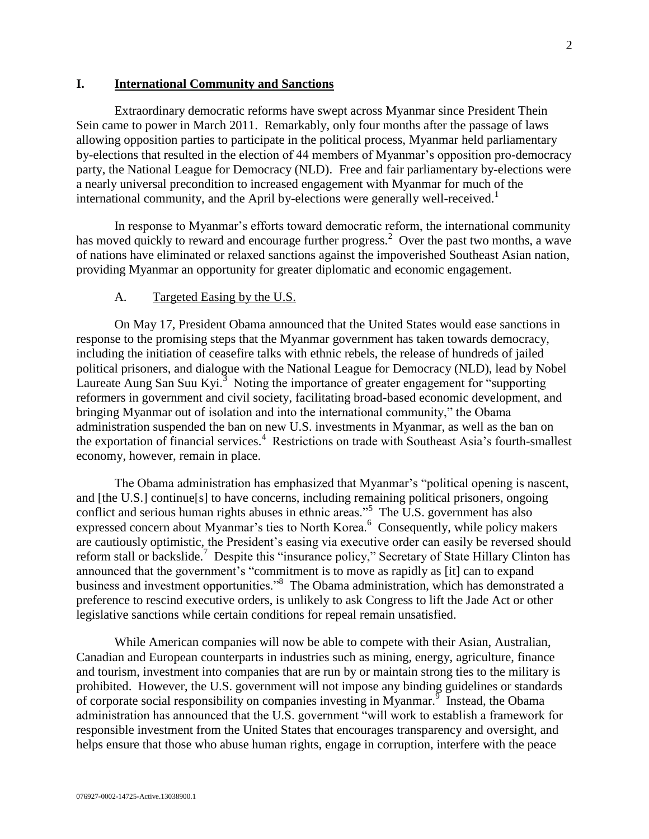#### <span id="page-1-0"></span>**I. International Community and Sanctions**

Extraordinary democratic reforms have swept across Myanmar since President Thein Sein came to power in March 2011. Remarkably, only four months after the passage of laws allowing opposition parties to participate in the political process, Myanmar held parliamentary by-elections that resulted in the election of 44 members of Myanmar's opposition pro-democracy party, the National League for Democracy (NLD). Free and fair parliamentary by-elections were a nearly universal precondition to increased engagement with Myanmar for much of the international community, and the April by-elections were generally well-received. 1

In response to Myanmar's efforts toward democratic reform, the international community has moved quickly to reward and encourage further progress.<sup>2</sup> Over the past two months, a wave of nations have eliminated or relaxed sanctions against the impoverished Southeast Asian nation, providing Myanmar an opportunity for greater diplomatic and economic engagement.

#### A. Targeted Easing by the U.S.

<span id="page-1-1"></span>On May 17, President Obama announced that the United States would ease sanctions in response to the promising steps that the Myanmar government has taken towards democracy, including the initiation of ceasefire talks with ethnic rebels, the release of hundreds of jailed political prisoners, and dialogue with the National League for Democracy (NLD), lead by Nobel Laureate Aung San Suu Kyi.<sup>3</sup> Noting the importance of greater engagement for "supporting" reformers in government and civil society, facilitating broad-based economic development, and bringing Myanmar out of isolation and into the international community," the Obama administration suspended the ban on new U.S. investments in Myanmar, as well as the ban on the exportation of financial services. 4 Restrictions on trade with Southeast Asia's fourth-smallest economy, however, remain in place.

The Obama administration has emphasized that Myanmar's "political opening is nascent, and [the U.S.] continue[s] to have concerns, including remaining political prisoners, ongoing conflict and serious human rights abuses in ethnic areas."<sup>5</sup> The U.S. government has also expressed concern about Myanmar's ties to North Korea.<sup>6</sup> Consequently, while policy makers are cautiously optimistic, the President's easing via executive order can easily be reversed should reform stall or backslide.<sup>7</sup> Despite this "insurance policy," Secretary of State Hillary Clinton has announced that the government's "commitment is to move as rapidly as [it] can to expand business and investment opportunities."<sup>8</sup> The Obama administration, which has demonstrated a preference to rescind executive orders, is unlikely to ask Congress to lift the Jade Act or other legislative sanctions while certain conditions for repeal remain unsatisfied.

While American companies will now be able to compete with their Asian, Australian, Canadian and European counterparts in industries such as mining, energy, agriculture, finance and tourism, investment into companies that are run by or maintain strong ties to the military is prohibited. However, the U.S. government will not impose any binding guidelines or standards of corporate social responsibility on companies investing in Myanmar.  $\frac{9}{9}$  Instead, the Obama administration has announced that the U.S. government "will work to establish a framework for responsible investment from the United States that encourages transparency and oversight, and helps ensure that those who abuse human rights, engage in corruption, interfere with the peace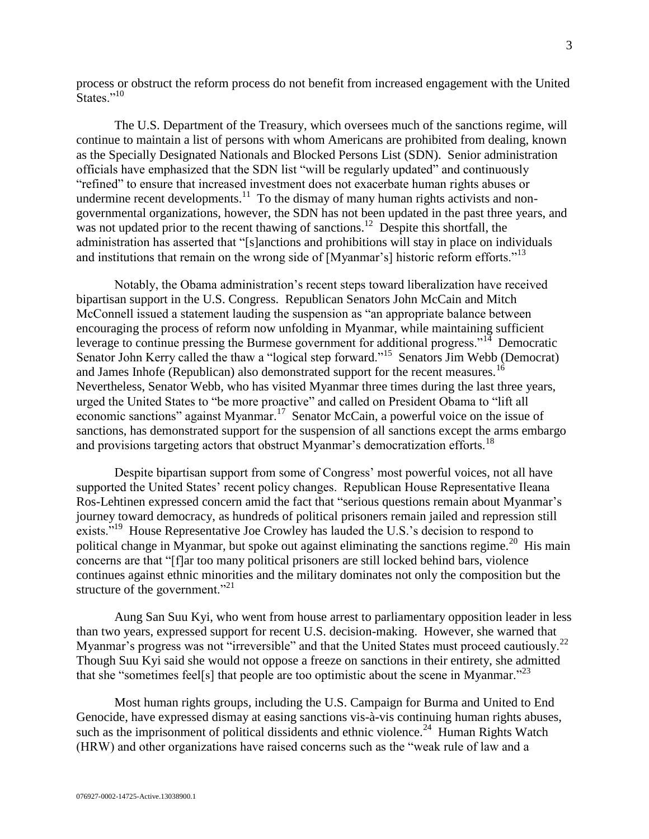process or obstruct the reform process do not benefit from increased engagement with the United States."<sup>10</sup>

The U.S. Department of the Treasury, which oversees much of the sanctions regime, will continue to maintain a list of persons with whom Americans are prohibited from dealing, known as the Specially Designated Nationals and Blocked Persons List (SDN). Senior administration officials have emphasized that the SDN list "will be regularly updated" and continuously "refined" to ensure that increased investment does not exacerbate human rights abuses or undermine recent developments.<sup>11</sup> To the dismay of many human rights activists and nongovernmental organizations, however, the SDN has not been updated in the past three years, and was not updated prior to the recent thawing of sanctions.<sup>12</sup> Despite this shortfall, the administration has asserted that "[s]anctions and prohibitions will stay in place on individuals and institutions that remain on the wrong side of [Myanmar's] historic reform efforts."<sup>13</sup>

Notably, the Obama administration's recent steps toward liberalization have received bipartisan support in the U.S. Congress. Republican Senators John McCain and Mitch McConnell issued a statement lauding the suspension as "an appropriate balance between encouraging the process of reform now unfolding in Myanmar, while maintaining sufficient leverage to continue pressing the Burmese government for additional progress."<sup>14</sup> Democratic Senator John Kerry called the thaw a "logical step forward."<sup>15</sup> Senators Jim Webb (Democrat) and James Inhofe (Republican) also demonstrated support for the recent measures.<sup>16</sup> Nevertheless, Senator Webb, who has visited Myanmar three times during the last three years, urged the United States to "be more proactive" and called on President Obama to "lift all economic sanctions" against Myanmar.<sup>17</sup> Senator McCain, a powerful voice on the issue of sanctions, has demonstrated support for the suspension of all sanctions except the arms embargo and provisions targeting actors that obstruct Myanmar's democratization efforts.<sup>18</sup>

Despite bipartisan support from some of Congress' most powerful voices, not all have supported the United States' recent policy changes. Republican House Representative Ileana Ros-Lehtinen expressed concern amid the fact that "serious questions remain about Myanmar's journey toward democracy, as hundreds of political prisoners remain jailed and repression still exists."<sup>19</sup> House Representative Joe Crowley has lauded the U.S.'s decision to respond to political change in Myanmar, but spoke out against eliminating the sanctions regime.<sup>20</sup> His main concerns are that "[f]ar too many political prisoners are still locked behind bars, violence continues against ethnic minorities and the military dominates not only the composition but the structure of the government." $^{21}$ 

Aung San Suu Kyi, who went from house arrest to parliamentary opposition leader in less than two years, expressed support for recent U.S. decision-making. However, she warned that Myanmar's progress was not "irreversible" and that the United States must proceed cautiously.<sup>22</sup> Though Suu Kyi said she would not oppose a freeze on sanctions in their entirety, she admitted that she "sometimes feel[s] that people are too optimistic about the scene in Myanmar.<sup>223</sup>

Most human rights groups, including the U.S. Campaign for Burma and United to End Genocide, have expressed dismay at easing sanctions vis-à-vis continuing human rights abuses, such as the imprisonment of political dissidents and ethnic violence.<sup>24</sup> Human Rights Watch (HRW) and other organizations have raised concerns such as the "weak rule of law and a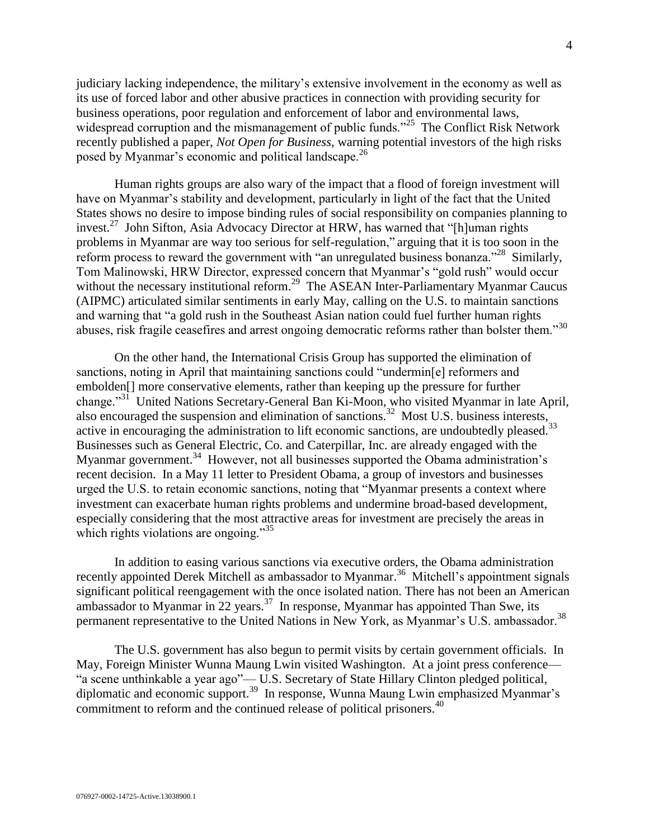judiciary lacking independence, the military's extensive involvement in the economy as well as its use of forced labor and other abusive practices in connection with providing security for business operations, poor regulation and enforcement of labor and environmental laws, widespread corruption and the mismanagement of public funds."<sup>25</sup> The Conflict Risk Network recently published a paper, *Not Open for Business*, warning potential investors of the high risks posed by Myanmar's economic and political landscape.<sup>26</sup>

Human rights groups are also wary of the impact that a flood of foreign investment will have on Myanmar's stability and development, particularly in light of the fact that the United States shows no desire to impose binding rules of social responsibility on companies planning to invest.<sup>27</sup> John Sifton, Asia Advocacy Director at HRW, has warned that "[h]uman rights problems in Myanmar are way too serious for self-regulation," arguing that it is too soon in the reform process to reward the government with "an unregulated business bonanza."<sup>28</sup> Similarly, Tom Malinowski, HRW Director, expressed concern that Myanmar's "gold rush" would occur without the necessary institutional reform.<sup>29</sup> The ASEAN Inter-Parliamentary Myanmar Caucus (AIPMC) articulated similar sentiments in early May, calling on the U.S. to maintain sanctions and warning that "a gold rush in the Southeast Asian nation could fuel further human rights abuses, risk fragile ceasefires and arrest ongoing democratic reforms rather than bolster them."<sup>30</sup>

On the other hand, the International Crisis Group has supported the elimination of sanctions, noting in April that maintaining sanctions could "undermin[e] reformers and embolden[] more conservative elements, rather than keeping up the pressure for further change."<sup>31</sup> United Nations Secretary-General Ban Ki-Moon, who visited Myanmar in late April, also encouraged the suspension and elimination of sanctions.<sup>32</sup> Most U.S. business interests, active in encouraging the administration to lift economic sanctions, are undoubtedly pleased.<sup>33</sup> Businesses such as General Electric, Co. and Caterpillar, Inc. are already engaged with the Myanmar government.<sup>34</sup> However, not all businesses supported the Obama administration's recent decision. In a May 11 letter to President Obama, a group of investors and businesses urged the U.S. to retain economic sanctions, noting that "Myanmar presents a context where investment can exacerbate human rights problems and undermine broad-based development, especially considering that the most attractive areas for investment are precisely the areas in which rights violations are ongoing."<sup>35</sup>

In addition to easing various sanctions via executive orders, the Obama administration recently appointed Derek Mitchell as ambassador to Myanmar.<sup>36</sup> Mitchell's appointment signals significant political reengagement with the once isolated nation. There has not been an American ambassador to Myanmar in 22 years. $37$  In response, Myanmar has appointed Than Swe, its permanent representative to the United Nations in New York, as Myanmar's U.S. ambassador.<sup>38</sup>

The U.S. government has also begun to permit visits by certain government officials. In May, Foreign Minister Wunna Maung Lwin visited Washington. At a joint press conference— "a scene unthinkable a year ago"— U.S. Secretary of State Hillary Clinton pledged political, diplomatic and economic support.<sup>39</sup> In response, Wunna Maung Lwin emphasized Myanmar's commitment to reform and the continued release of political prisoners.<sup>40</sup>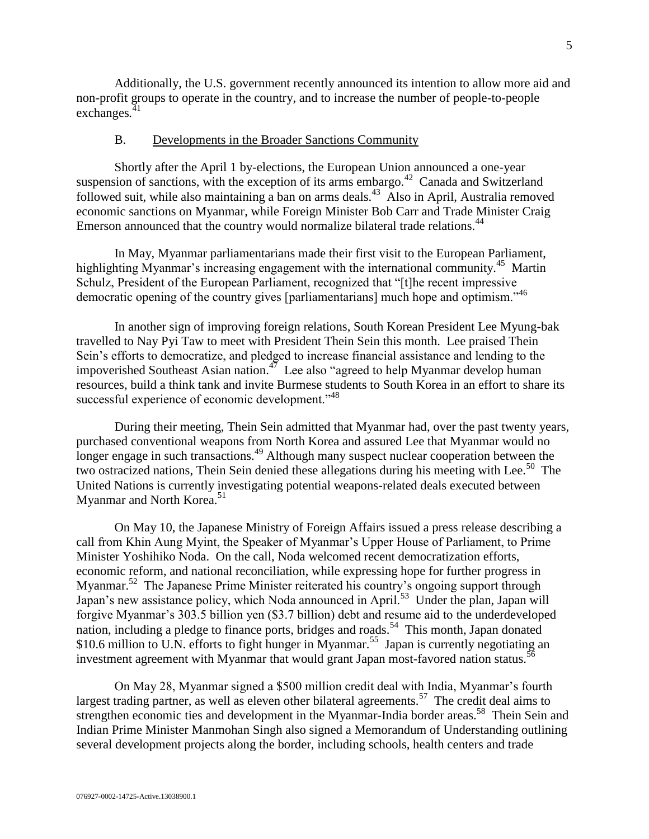Additionally, the U.S. government recently announced its intention to allow more aid and non-profit groups to operate in the country, and to increase the number of people-to-people exchanges*.* 41

#### B. Developments in the Broader Sanctions Community

<span id="page-4-0"></span>Shortly after the April 1 by-elections, the European Union announced a one-year suspension of sanctions, with the exception of its arms embargo.<sup>42</sup> Canada and Switzerland followed suit, while also maintaining a ban on arms deals.<sup>43</sup> Also in April, Australia removed economic sanctions on Myanmar, while Foreign Minister Bob Carr and Trade Minister Craig Emerson announced that the country would normalize bilateral trade relations.<sup>44</sup>

In May, Myanmar parliamentarians made their first visit to the European Parliament, highlighting Myanmar's increasing engagement with the international community.<sup>45</sup> Martin Schulz, President of the European Parliament, recognized that "[t]he recent impressive democratic opening of the country gives [parliamentarians] much hope and optimism."<sup>46</sup>

In another sign of improving foreign relations, South Korean President Lee Myung-bak travelled to Nay Pyi Taw to meet with President Thein Sein this month. Lee praised Thein Sein's efforts to democratize, and pledged to increase financial assistance and lending to the impoverished Southeast Asian nation.<sup>47</sup> Lee also "agreed to help Myanmar develop human resources, build a think tank and invite Burmese students to South Korea in an effort to share its successful experience of economic development."<sup>48</sup>

During their meeting, Thein Sein admitted that Myanmar had, over the past twenty years, purchased conventional weapons from North Korea and assured Lee that Myanmar would no longer engage in such transactions.<sup>49</sup> Although many suspect nuclear cooperation between the two ostracized nations, Thein Sein denied these allegations during his meeting with Lee.<sup>50</sup> The United Nations is currently investigating potential weapons-related deals executed between Myanmar and North Korea.<sup>51</sup>

On May 10, the Japanese Ministry of Foreign Affairs issued a press release describing a call from Khin Aung Myint, the Speaker of Myanmar's Upper House of Parliament, to Prime Minister Yoshihiko Noda. On the call, Noda welcomed recent democratization efforts, economic reform, and national reconciliation, while expressing hope for further progress in Myanmar.<sup>52</sup> The Japanese Prime Minister reiterated his country's ongoing support through Japan's new assistance policy, which Noda announced in April.<sup>53</sup> Under the plan, Japan will forgive Myanmar's 303.5 billion yen (\$3.7 billion) debt and resume aid to the underdeveloped nation, including a pledge to finance ports, bridges and roads.<sup>54</sup> This month, Japan donated \$10.6 million to U.N. efforts to fight hunger in Myanmar.<sup>55</sup> Japan is currently negotiating an investment agreement with Myanmar that would grant Japan most-favored nation status.<sup>56</sup>

On May 28, Myanmar signed a \$500 million credit deal with India, Myanmar's fourth largest trading partner, as well as eleven other bilateral agreements.<sup>57</sup> The credit deal aims to strengthen economic ties and development in the Myanmar-India border areas.<sup>58</sup> Thein Sein and Indian Prime Minister Manmohan Singh also signed a Memorandum of Understanding outlining several development projects along the border, including schools, health centers and trade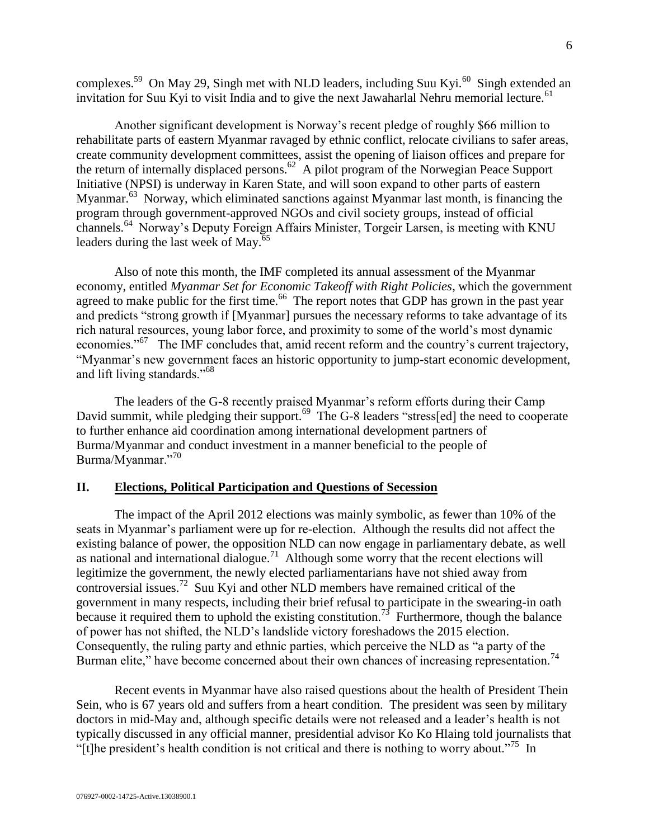complexes.<sup>59</sup> On May 29, Singh met with NLD leaders, including Suu Kyi.<sup>60</sup> Singh extended an invitation for Suu Kyi to visit India and to give the next Jawaharlal Nehru memorial lecture.<sup>61</sup>

Another significant development is Norway's recent pledge of roughly \$66 million to rehabilitate parts of eastern Myanmar ravaged by ethnic conflict, relocate civilians to safer areas, create community development committees, assist the opening of liaison offices and prepare for the return of internally displaced persons.<sup>62</sup> A pilot program of the Norwegian Peace Support Initiative (NPSI) is underway in Karen State, and will soon expand to other parts of eastern Myanmar.<sup>63</sup> Norway, which eliminated sanctions against Myanmar last month, is financing the program through government-approved NGOs and civil society groups, instead of official channels.<sup>64</sup> Norway's Deputy Foreign Affairs Minister, Torgeir Larsen, is meeting with KNU leaders during the last week of May. $65$ 

Also of note this month, the IMF completed its annual assessment of the Myanmar economy, entitled *Myanmar Set for Economic Takeoff with Right Policies*, which the government agreed to make public for the first time.<sup>66</sup> The report notes that GDP has grown in the past year and predicts "strong growth if [Myanmar] pursues the necessary reforms to take advantage of its rich natural resources, young labor force, and proximity to some of the world's most dynamic economies."<sup>67</sup> The IMF concludes that, amid recent reform and the country's current trajectory, "Myanmar's new government faces an historic opportunity to jump-start economic development, and lift living standards."<sup>68</sup>

The leaders of the G-8 recently praised Myanmar's reform efforts during their Camp David summit, while pledging their support.<sup>69</sup> The G-8 leaders "stress[ed] the need to cooperate to further enhance aid coordination among international development partners of Burma/Myanmar and conduct investment in a manner beneficial to the people of Burma/Myanmar."<sup>70</sup>

## <span id="page-5-0"></span>**II. Elections, Political Participation and Questions of Secession**

The impact of the April 2012 elections was mainly symbolic, as fewer than 10% of the seats in Myanmar's parliament were up for re-election. Although the results did not affect the existing balance of power, the opposition NLD can now engage in parliamentary debate, as well as national and international dialogue.<sup>71</sup> Although some worry that the recent elections will legitimize the government, the newly elected parliamentarians have not shied away from controversial issues.<sup>72</sup> Suu Kyi and other NLD members have remained critical of the government in many respects, including their brief refusal to participate in the swearing-in oath because it required them to uphold the existing constitution.<sup>73</sup> Furthermore, though the balance of power has not shifted, the NLD's landslide victory foreshadows the 2015 election. Consequently, the ruling party and ethnic parties, which perceive the NLD as "a party of the Burman elite," have become concerned about their own chances of increasing representation.<sup>74</sup>

Recent events in Myanmar have also raised questions about the health of President Thein Sein, who is 67 years old and suffers from a heart condition. The president was seen by military doctors in mid-May and, although specific details were not released and a leader's health is not typically discussed in any official manner, presidential advisor Ko Ko Hlaing told journalists that "[t]he president's health condition is not critical and there is nothing to worry about."<sup>75</sup> In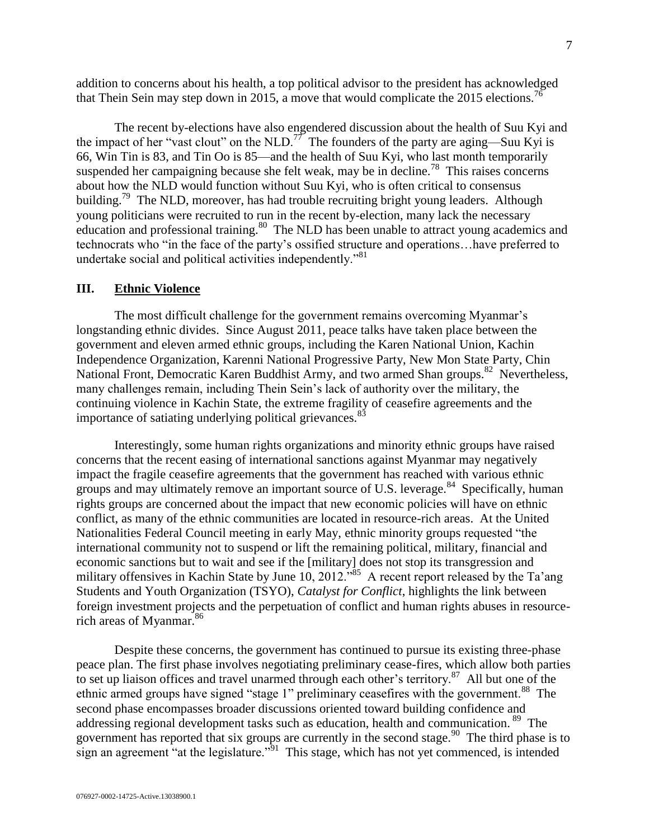addition to concerns about his health, a top political advisor to the president has acknowledged that Thein Sein may step down in 2015, a move that would complicate the 2015 elections.<sup>76</sup>

The recent by-elections have also engendered discussion about the health of Suu Kyi and the impact of her "vast clout" on the NLD.<sup>77</sup> The founders of the party are aging—Suu Kyi is 66, Win Tin is 83, and Tin Oo is 85—and the health of Suu Kyi, who last month temporarily suspended her campaigning because she felt weak, may be in decline.<sup>78</sup> This raises concerns about how the NLD would function without Suu Kyi, who is often critical to consensus building.<sup>79</sup> The NLD, moreover, has had trouble recruiting bright young leaders. Although young politicians were recruited to run in the recent by-election, many lack the necessary education and professional training.<sup>80</sup> The NLD has been unable to attract young academics and technocrats who "in the face of the party's ossified structure and operations…have preferred to undertake social and political activities independently.<sup>81</sup>

#### <span id="page-6-0"></span>**III. Ethnic Violence**

The most difficult challenge for the government remains overcoming Myanmar's longstanding ethnic divides. Since August 2011, peace talks have taken place between the government and eleven armed ethnic groups, including the Karen National Union, Kachin Independence Organization, Karenni National Progressive Party, New Mon State Party, Chin National Front, Democratic Karen Buddhist Army, and two armed Shan groups.<sup>82</sup> Nevertheless, many challenges remain, including Thein Sein's lack of authority over the military, the continuing violence in Kachin State, the extreme fragility of ceasefire agreements and the importance of satiating underlying political grievances.<sup>83</sup>

Interestingly, some human rights organizations and minority ethnic groups have raised concerns that the recent easing of international sanctions against Myanmar may negatively impact the fragile ceasefire agreements that the government has reached with various ethnic groups and may ultimately remove an important source of U.S. leverage.<sup>84</sup> Specifically, human rights groups are concerned about the impact that new economic policies will have on ethnic conflict, as many of the ethnic communities are located in resource-rich areas. At the United Nationalities Federal Council meeting in early May, ethnic minority groups requested "the international community not to suspend or lift the remaining political, military, financial and economic sanctions but to wait and see if the [military] does not stop its transgression and military offensives in Kachin State by June 10, 2012.<sup>85</sup> A recent report released by the Ta'ang Students and Youth Organization (TSYO), *Catalyst for Conflict*, highlights the link between foreign investment projects and the perpetuation of conflict and human rights abuses in resourcerich areas of Myanmar. 86

Despite these concerns, the government has continued to pursue its existing three-phase peace plan. The first phase involves negotiating preliminary cease-fires, which allow both parties to set up liaison offices and travel unarmed through each other's territory. $87$  All but one of the ethnic armed groups have signed "stage 1" preliminary ceasefires with the government.<sup>88</sup> The second phase encompasses broader discussions oriented toward building confidence and addressing regional development tasks such as education, health and communication.<sup>89</sup> The government has reported that six groups are currently in the second stage.<sup>90</sup> The third phase is to sign an agreement "at the legislature." $\frac{3}{1}$  This stage, which has not yet commenced, is intended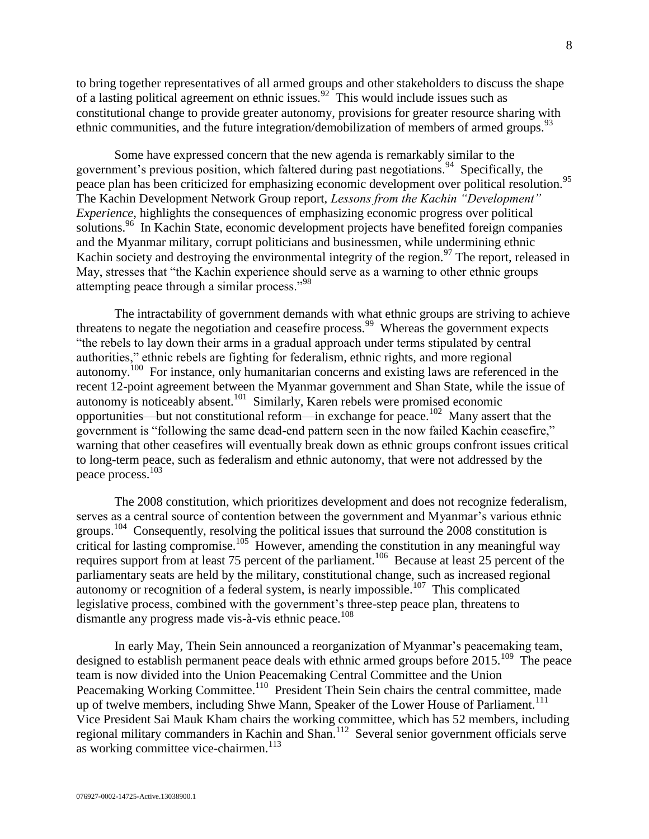to bring together representatives of all armed groups and other stakeholders to discuss the shape of a lasting political agreement on ethnic issues.<sup>92</sup> This would include issues such as constitutional change to provide greater autonomy, provisions for greater resource sharing with ethnic communities, and the future integration/demobilization of members of armed groups.<sup>93</sup>

Some have expressed concern that the new agenda is remarkably similar to the government's previous position, which faltered during past negotiations.<sup>94</sup> Specifically, the peace plan has been criticized for emphasizing economic development over political resolution.<sup>95</sup> The Kachin Development Network Group report, *Lessons from the Kachin "Development" Experience*, highlights the consequences of emphasizing economic progress over political solutions.<sup>96</sup> In Kachin State, economic development projects have benefited foreign companies and the Myanmar military, corrupt politicians and businessmen, while undermining ethnic Kachin society and destroying the environmental integrity of the region.<sup>97</sup> The report, released in May, stresses that "the Kachin experience should serve as a warning to other ethnic groups attempting peace through a similar process."<sup>98</sup>

The intractability of government demands with what ethnic groups are striving to achieve threatens to negate the negotiation and ceasefire process.<sup>99</sup> Whereas the government expects "the rebels to lay down their arms in a gradual approach under terms stipulated by central authorities," ethnic rebels are fighting for federalism, ethnic rights, and more regional autonomy.<sup>100</sup> For instance, only humanitarian concerns and existing laws are referenced in the recent 12-point agreement between the Myanmar government and Shan State, while the issue of autonomy is noticeably absent.<sup>101</sup> Similarly, Karen rebels were promised economic opportunities—but not constitutional reform—in exchange for peace.<sup>102</sup> Many assert that the government is "following the same dead-end pattern seen in the now failed Kachin ceasefire," warning that other ceasefires will eventually break down as ethnic groups confront issues critical to long-term peace, such as federalism and ethnic autonomy, that were not addressed by the peace process.<sup>103</sup>

The 2008 constitution, which prioritizes development and does not recognize federalism, serves as a central source of contention between the government and Myanmar's various ethnic groups.<sup>104</sup> Consequently, resolving the political issues that surround the 2008 constitution is critical for lasting compromise.<sup>105</sup> However, amending the constitution in any meaningful way requires support from at least 75 percent of the parliament.<sup>106</sup> Because at least 25 percent of the parliamentary seats are held by the military, constitutional change, such as increased regional autonomy or recognition of a federal system, is nearly impossible.<sup>107</sup> This complicated legislative process, combined with the government's three-step peace plan, threatens to dismantle any progress made vis-à-vis ethnic peace.<sup>108</sup>

In early May, Thein Sein announced a reorganization of Myanmar's peacemaking team, designed to establish permanent peace deals with ethnic armed groups before 2015.<sup>109</sup> The peace team is now divided into the Union Peacemaking Central Committee and the Union Peacemaking Working Committee.<sup>110</sup> President Thein Sein chairs the central committee, made up of twelve members, including Shwe Mann, Speaker of the Lower House of Parliament.<sup>111</sup> Vice President Sai Mauk Kham chairs the working committee, which has 52 members, including regional military commanders in Kachin and Shan.<sup>112</sup> Several senior government officials serve as working committee vice-chairmen.<sup>113</sup>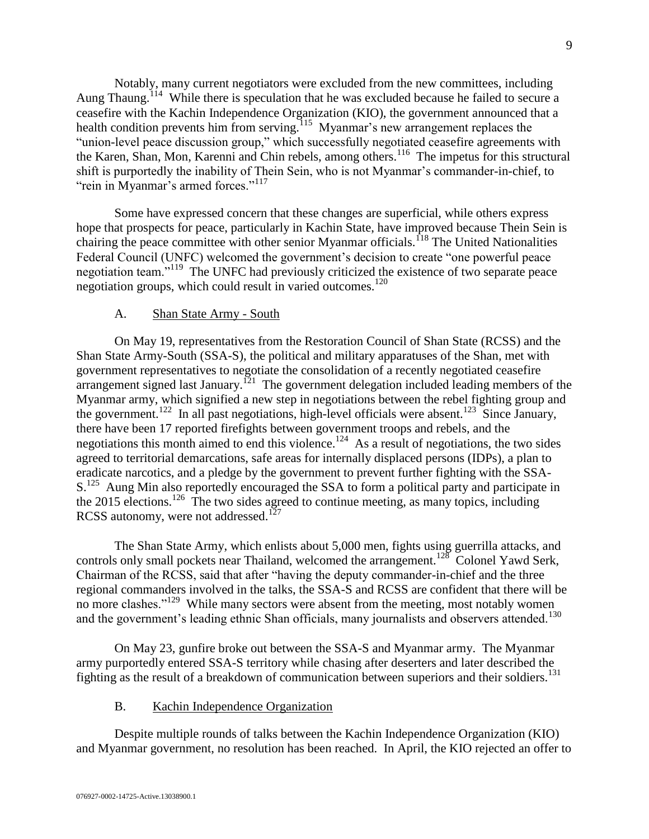Notably, many current negotiators were excluded from the new committees, including Aung Thaung.<sup>114</sup> While there is speculation that he was excluded because he failed to secure a ceasefire with the Kachin Independence Organization (KIO), the government announced that a health condition prevents him from serving.<sup>115</sup> Myanmar's new arrangement replaces the "union-level peace discussion group," which successfully negotiated ceasefire agreements with the Karen, Shan, Mon, Karenni and Chin rebels, among others.<sup>116</sup> The impetus for this structural shift is purportedly the inability of Thein Sein, who is not Myanmar's commander-in-chief, to "rein in Myanmar's armed forces."<sup>117</sup>

Some have expressed concern that these changes are superficial, while others express hope that prospects for peace, particularly in Kachin State, have improved because Thein Sein is chairing the peace committee with other senior Myanmar officials.<sup>118</sup> The United Nationalities Federal Council (UNFC) welcomed the government's decision to create "one powerful peace negotiation team."<sup>119</sup> The UNFC had previously criticized the existence of two separate peace negotiation groups, which could result in varied outcomes.<sup>120</sup>

#### A. Shan State Army - South

<span id="page-8-0"></span>On May 19, representatives from the Restoration Council of Shan State (RCSS) and the Shan State Army-South (SSA-S), the political and military apparatuses of the Shan, met with government representatives to negotiate the consolidation of a recently negotiated ceasefire  $\alpha$  arrangement signed last January.<sup>121</sup> The government delegation included leading members of the Myanmar army, which signified a new step in negotiations between the rebel fighting group and the government.<sup>122</sup> In all past negotiations, high-level officials were absent.<sup>123</sup> Since January, there have been 17 reported firefights between government troops and rebels, and the negotiations this month aimed to end this violence.<sup>124</sup> As a result of negotiations, the two sides agreed to territorial demarcations, safe areas for internally displaced persons (IDPs), a plan to eradicate narcotics, and a pledge by the government to prevent further fighting with the SSA-S.<sup>125</sup> Aung Min also reportedly encouraged the SSA to form a political party and participate in the 2015 elections.<sup>126</sup> The two sides agreed to continue meeting, as many topics, including RCSS autonomy, were not addressed.<sup>127</sup>

The Shan State Army, which enlists about 5,000 men, fights using guerrilla attacks, and controls only small pockets near Thailand, welcomed the arrangement.<sup>128</sup> Colonel Yawd Serk, Chairman of the RCSS, said that after "having the deputy commander-in-chief and the three regional commanders involved in the talks, the SSA-S and RCSS are confident that there will be no more clashes."<sup>129</sup> While many sectors were absent from the meeting, most notably women and the government's leading ethnic Shan officials, many journalists and observers attended.<sup>130</sup>

On May 23, gunfire broke out between the SSA-S and Myanmar army. The Myanmar army purportedly entered SSA-S territory while chasing after deserters and later described the fighting as the result of a breakdown of communication between superiors and their soldiers.<sup>131</sup>

### B. Kachin Independence Organization

<span id="page-8-1"></span>Despite multiple rounds of talks between the Kachin Independence Organization (KIO) and Myanmar government, no resolution has been reached. In April, the KIO rejected an offer to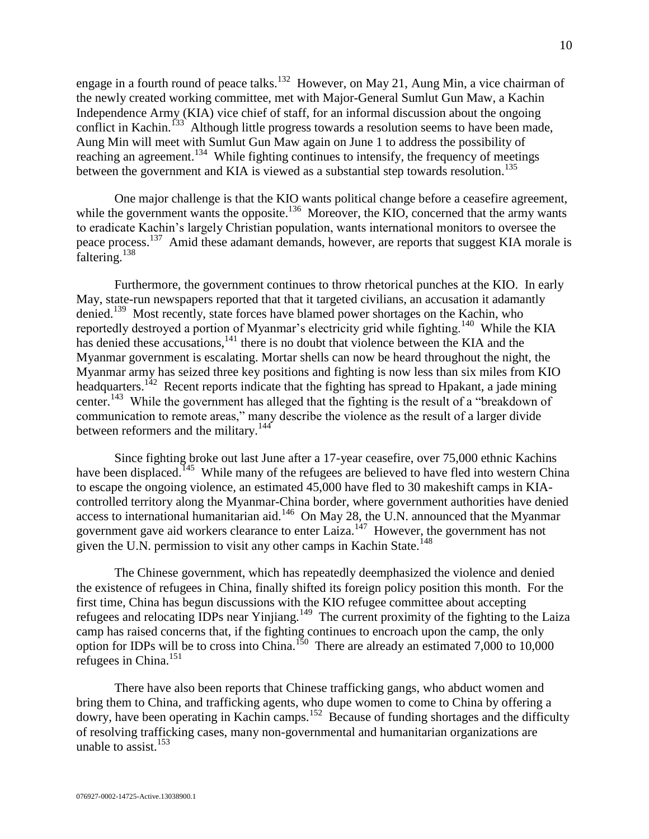engage in a fourth round of peace talks.<sup>132</sup> However, on May 21, Aung Min, a vice chairman of the newly created working committee, met with Major-General Sumlut Gun Maw, a Kachin Independence Army (KIA) vice chief of staff, for an informal discussion about the ongoing conflict in Kachin.<sup>133</sup> Although little progress towards a resolution seems to have been made, Aung Min will meet with Sumlut Gun Maw again on June 1 to address the possibility of reaching an agreement.<sup>134</sup> While fighting continues to intensify, the frequency of meetings between the government and KIA is viewed as a substantial step towards resolution.<sup>135</sup>

One major challenge is that the KIO wants political change before a ceasefire agreement, while the government wants the opposite.<sup>136</sup> Moreover, the KIO, concerned that the army wants to eradicate Kachin's largely Christian population, wants international monitors to oversee the peace process.<sup>137</sup> Amid these adamant demands, however, are reports that suggest KIA morale is faltering.<sup>138</sup>

Furthermore, the government continues to throw rhetorical punches at the KIO. In early May, state-run newspapers reported that that it targeted civilians, an accusation it adamantly denied.<sup>139</sup> Most recently, state forces have blamed power shortages on the Kachin, who reportedly destroyed a portion of Myanmar's electricity grid while fighting.<sup>140</sup> While the KIA has denied these accusations,<sup>141</sup> there is no doubt that violence between the KIA and the Myanmar government is escalating. Mortar shells can now be heard throughout the night, the Myanmar army has seized three key positions and fighting is now less than six miles from KIO headquarters.<sup>142</sup> Recent reports indicate that the fighting has spread to Hpakant, a jade mining center.<sup>143</sup> While the government has alleged that the fighting is the result of a "breakdown of communication to remote areas," many describe the violence as the result of a larger divide between reformers and the military.<sup>144</sup>

Since fighting broke out last June after a 17-year ceasefire, over 75,000 ethnic Kachins have been displaced.<sup>145</sup> While many of the refugees are believed to have fled into western China to escape the ongoing violence, an estimated 45,000 have fled to 30 makeshift camps in KIAcontrolled territory along the Myanmar-China border, where government authorities have denied access to international humanitarian aid.<sup>146</sup> On May 28, the U.N. announced that the Myanmar government gave aid workers clearance to enter Laiza.<sup>147</sup> However, the government has not given the U.N. permission to visit any other camps in Kachin State.<sup>148</sup>

The Chinese government, which has repeatedly deemphasized the violence and denied the existence of refugees in China, finally shifted its foreign policy position this month. For the first time, China has begun discussions with the KIO refugee committee about accepting refugees and relocating IDPs near Yinjiang.<sup>149</sup> The current proximity of the fighting to the Laiza camp has raised concerns that, if the fighting continues to encroach upon the camp, the only option for IDPs will be to cross into China.<sup>150</sup> There are already an estimated 7,000 to 10,000 refugees in China.<sup>151</sup>

There have also been reports that Chinese trafficking gangs, who abduct women and bring them to China, and trafficking agents, who dupe women to come to China by offering a dowry, have been operating in Kachin camps.<sup>152</sup> Because of funding shortages and the difficulty of resolving trafficking cases, many non-governmental and humanitarian organizations are unable to assist. $153$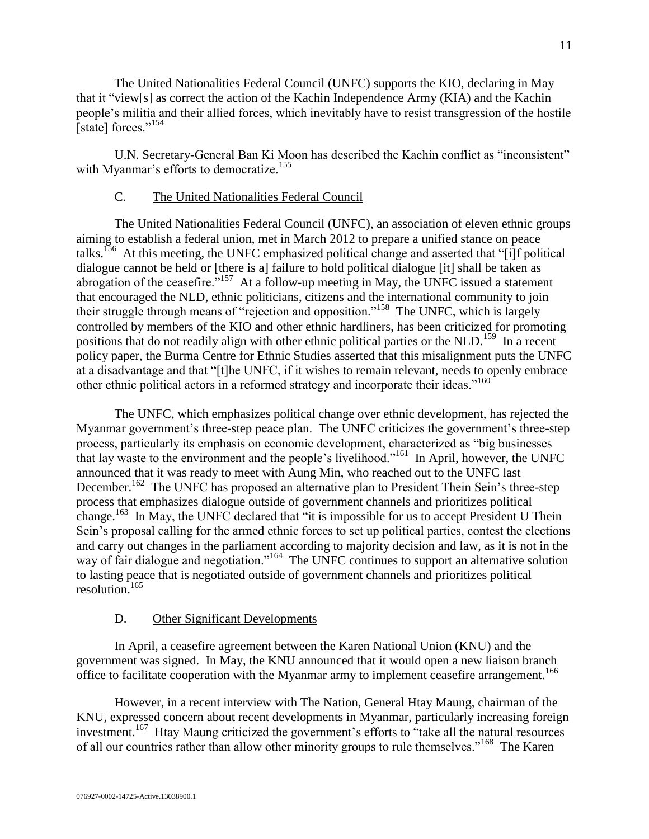The United Nationalities Federal Council (UNFC) supports the KIO, declaring in May that it "view[s] as correct the action of the Kachin Independence Army (KIA) and the Kachin people's militia and their allied forces, which inevitably have to resist transgression of the hostile [state] forces."<sup>154</sup>

U.N. Secretary-General Ban Ki Moon has described the Kachin conflict as "inconsistent" with Myanmar's efforts to democratize.<sup>155</sup>

### C. The United Nationalities Federal Council

<span id="page-10-0"></span>The United Nationalities Federal Council (UNFC), an association of eleven ethnic groups aiming to establish a federal union, met in March 2012 to prepare a unified stance on peace talks.<sup>156</sup> At this meeting, the UNFC emphasized political change and asserted that "[i]f political dialogue cannot be held or [there is a] failure to hold political dialogue [it] shall be taken as abrogation of the ceasefire.<sup> $5157$ </sup> At a follow-up meeting in May, the UNFC issued a statement that encouraged the NLD, ethnic politicians, citizens and the international community to join their struggle through means of "rejection and opposition."<sup>158</sup> The UNFC, which is largely controlled by members of the KIO and other ethnic hardliners, has been criticized for promoting positions that do not readily align with other ethnic political parties or the NLD.<sup>159</sup> In a recent policy paper, the Burma Centre for Ethnic Studies asserted that this misalignment puts the UNFC at a disadvantage and that "[t]he UNFC, if it wishes to remain relevant, needs to openly embrace other ethnic political actors in a reformed strategy and incorporate their ideas."<sup>160</sup>

The UNFC, which emphasizes political change over ethnic development, has rejected the Myanmar government's three-step peace plan. The UNFC criticizes the government's three-step process, particularly its emphasis on economic development, characterized as "big businesses that lay waste to the environment and the people's livelihood."<sup>161</sup> In April, however, the UNFC announced that it was ready to meet with Aung Min, who reached out to the UNFC last December.<sup>162</sup> The UNFC has proposed an alternative plan to President Thein Sein's three-step process that emphasizes dialogue outside of government channels and prioritizes political change.<sup>163</sup> In May, the UNFC declared that "it is impossible for us to accept President U Thein Sein's proposal calling for the armed ethnic forces to set up political parties, contest the elections and carry out changes in the parliament according to majority decision and law, as it is not in the way of fair dialogue and negotiation."<sup>164</sup> The UNFC continues to support an alternative solution to lasting peace that is negotiated outside of government channels and prioritizes political resolution.<sup>165</sup>

# D. Other Significant Developments

<span id="page-10-1"></span>In April, a ceasefire agreement between the Karen National Union (KNU) and the government was signed. In May, the KNU announced that it would open a new liaison branch office to facilitate cooperation with the Myanmar army to implement ceasefire arrangement.<sup>166</sup>

However, in a recent interview with The Nation, General Htay Maung, chairman of the KNU, expressed concern about recent developments in Myanmar, particularly increasing foreign investment.<sup>167</sup> Htay Maung criticized the government's efforts to "take all the natural resources of all our countries rather than allow other minority groups to rule themselves."<sup>168</sup> The Karen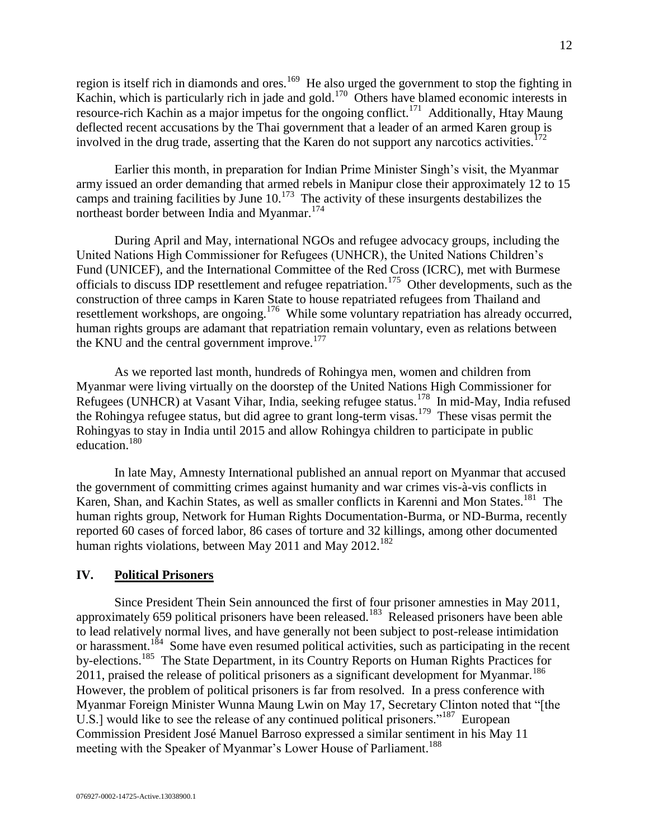region is itself rich in diamonds and ores.<sup>169</sup> He also urged the government to stop the fighting in Kachin, which is particularly rich in jade and gold.<sup>170</sup> Others have blamed economic interests in resource-rich Kachin as a major impetus for the ongoing conflict.<sup>171</sup> Additionally, Htay Maung deflected recent accusations by the Thai government that a leader of an armed Karen group is involved in the drug trade, asserting that the Karen do not support any narcotics activities.<sup>172</sup>

Earlier this month, in preparation for Indian Prime Minister Singh's visit, the Myanmar army issued an order demanding that armed rebels in Manipur close their approximately 12 to 15 camps and training facilities by June  $10^{173}$  The activity of these insurgents destabilizes the northeast border between India and Myanmar.<sup>174</sup>

During April and May, international NGOs and refugee advocacy groups, including the United Nations High Commissioner for Refugees (UNHCR), the United Nations Children's Fund (UNICEF), and the International Committee of the Red Cross (ICRC), met with Burmese officials to discuss IDP resettlement and refugee repatriation.<sup>175</sup> Other developments, such as the construction of three camps in Karen State to house repatriated refugees from Thailand and resettlement workshops, are ongoing.<sup>176</sup> While some voluntary repatriation has already occurred, human rights groups are adamant that repatriation remain voluntary, even as relations between the KNU and the central government improve.<sup>177</sup>

As we reported last month, hundreds of Rohingya men, women and children from Myanmar were living virtually on the doorstep of the United Nations High Commissioner for Refugees (UNHCR) at Vasant Vihar, India, seeking refugee status.<sup>178</sup> In mid-May, India refused the Rohingya refugee status, but did agree to grant long-term visas.<sup>179</sup> These visas permit the Rohingyas to stay in India until 2015 and allow Rohingya children to participate in public education.<sup>180</sup>

In late May, Amnesty International published an annual report on Myanmar that accused the government of committing crimes against humanity and war crimes vis-à-vis conflicts in Karen, Shan, and Kachin States, as well as smaller conflicts in Karenni and Mon States.<sup>181</sup> The human rights group, Network for Human Rights Documentation-Burma, or ND-Burma, recently reported 60 cases of forced labor, 86 cases of torture and 32 killings, among other documented human rights violations, between May 2011 and May  $2012$ .<sup>182</sup>

#### <span id="page-11-0"></span>**IV. Political Prisoners**

Since President Thein Sein announced the first of four prisoner amnesties in May 2011, approximately 659 political prisoners have been released.<sup>183</sup> Released prisoners have been able to lead relatively normal lives, and have generally not been subject to post-release intimidation or harassment.<sup>184</sup> Some have even resumed political activities, such as participating in the recent by-elections.<sup>185</sup> The State Department, in its Country Reports on Human Rights Practices for 2011, praised the release of political prisoners as a significant development for Myanmar.<sup>186</sup> However, the problem of political prisoners is far from resolved. In a press conference with Myanmar Foreign Minister Wunna Maung Lwin on May 17, Secretary Clinton noted that "[the U.S.] would like to see the release of any continued political prisoners."<sup>187</sup> European Commission President José Manuel Barroso expressed a similar sentiment in his May 11 meeting with the Speaker of Myanmar's Lower House of Parliament.<sup>188</sup>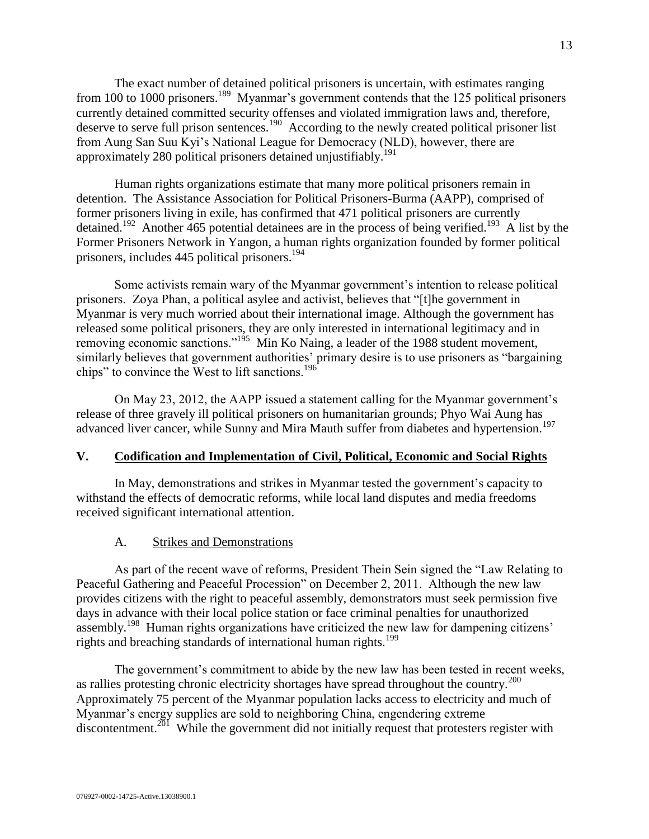The exact number of detained political prisoners is uncertain, with estimates ranging from 100 to 1000 prisoners.<sup>189</sup> Myanmar's government contends that the 125 political prisoners currently detained committed security offenses and violated immigration laws and, therefore, deserve to serve full prison sentences.<sup>190</sup> According to the newly created political prisoner list from Aung San Suu Kyi's National League for Democracy (NLD), however, there are approximately 280 political prisoners detained unjustifiably.<sup>191</sup>

Human rights organizations estimate that many more political prisoners remain in detention. The Assistance Association for Political Prisoners-Burma (AAPP), comprised of former prisoners living in exile, has confirmed that 471 political prisoners are currently detained.<sup>192</sup> Another 465 potential detainees are in the process of being verified.<sup>193</sup> A list by the Former Prisoners Network in Yangon, a human rights organization founded by former political prisoners, includes 445 political prisoners.<sup>194</sup>

Some activists remain wary of the Myanmar government's intention to release political prisoners. Zoya Phan, a political asylee and activist, believes that "[t]he government in Myanmar is very much worried about their international image. Although the government has released some political prisoners, they are only interested in international legitimacy and in removing economic sanctions."<sup>195</sup> Min Ko Naing, a leader of the 1988 student movement, similarly believes that government authorities' primary desire is to use prisoners as "bargaining chips" to convince the West to lift sanctions.<sup>196</sup>

On May 23, 2012, the AAPP issued a statement calling for the Myanmar government's release of three gravely ill political prisoners on humanitarian grounds; Phyo Wai Aung has advanced liver cancer, while Sunny and Mira Mauth suffer from diabetes and hypertension.<sup>197</sup>

# <span id="page-12-0"></span>**V. Codification and Implementation of Civil, Political, Economic and Social Rights**

In May, demonstrations and strikes in Myanmar tested the government's capacity to withstand the effects of democratic reforms, while local land disputes and media freedoms received significant international attention.

# A. Strikes and Demonstrations

<span id="page-12-1"></span>As part of the recent wave of reforms, President Thein Sein signed the "Law Relating to Peaceful Gathering and Peaceful Procession" on December 2, 2011. Although the new law provides citizens with the right to peaceful assembly, demonstrators must seek permission five days in advance with their local police station or face criminal penalties for unauthorized assembly.<sup>198</sup> Human rights organizations have criticized the new law for dampening citizens' rights and breaching standards of international human rights.<sup>199</sup>

The government's commitment to abide by the new law has been tested in recent weeks, as rallies protesting chronic electricity shortages have spread throughout the country.<sup>200</sup> Approximately 75 percent of the Myanmar population lacks access to electricity and much of Myanmar's energy supplies are sold to neighboring China, engendering extreme discontentment.<sup>201</sup> While the government did not initially request that protesters register with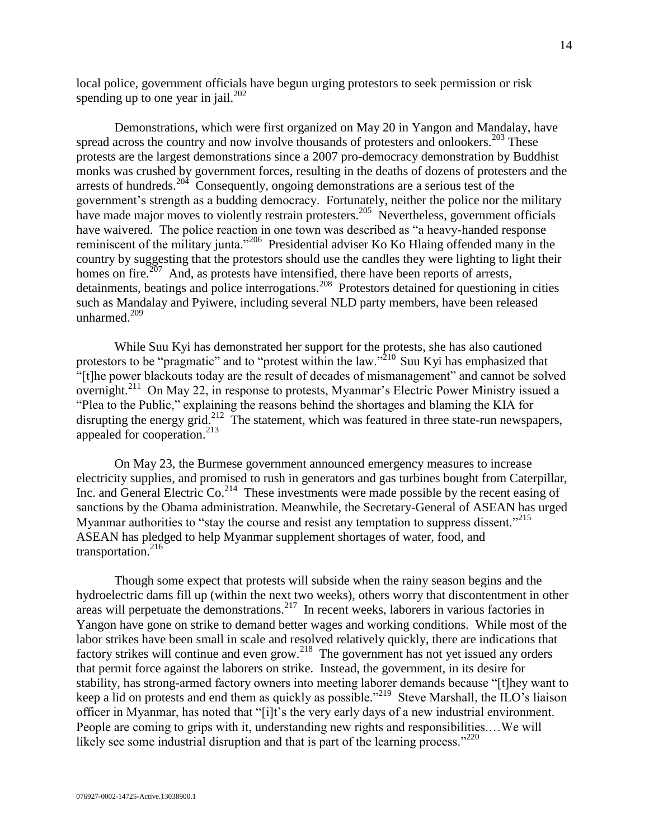local police, government officials have begun urging protestors to seek permission or risk spending up to one year in jail. $^{202}$ 

Demonstrations, which were first organized on May 20 in Yangon and Mandalay, have spread across the country and now involve thousands of protesters and onlookers.<sup>203</sup> These protests are the largest demonstrations since a 2007 pro-democracy demonstration by Buddhist monks was crushed by government forces, resulting in the deaths of dozens of protesters and the arrests of hundreds.<sup>204</sup> Consequently, ongoing demonstrations are a serious test of the government's strength as a budding democracy. Fortunately, neither the police nor the military have made major moves to violently restrain protesters.<sup>205</sup> Nevertheless, government officials have waivered. The police reaction in one town was described as "a heavy-handed response reminiscent of the military junta."<sup>206</sup> Presidential adviser Ko Ko Hlaing offended many in the country by suggesting that the protestors should use the candles they were lighting to light their homes on fire. $207$  And, as protests have intensified, there have been reports of arrests, detainments, beatings and police interrogations.<sup>208</sup> Protestors detained for questioning in cities such as Mandalay and Pyiwere, including several NLD party members, have been released unharmed. $^{209}$ 

While Suu Kyi has demonstrated her support for the protests, she has also cautioned protestors to be "pragmatic" and to "protest within the law."<sup>210</sup> Suu Kyi has emphasized that "[t]he power blackouts today are the result of decades of mismanagement" and cannot be solved overnight.<sup>211</sup> On May 22, in response to protests, Myanmar's Electric Power Ministry issued a "Plea to the Public," explaining the reasons behind the shortages and blaming the KIA for disrupting the energy grid.<sup>212</sup> The statement, which was featured in three state-run newspapers, appealed for cooperation.<sup>213</sup>

On May 23, the Burmese government announced emergency measures to increase electricity supplies, and promised to rush in generators and gas turbines bought from Caterpillar, Inc. and General Electric Co.<sup>214</sup> These investments were made possible by the recent easing of sanctions by the Obama administration. Meanwhile, the Secretary-General of ASEAN has urged Myanmar authorities to "stay the course and resist any temptation to suppress dissent."<sup>215</sup> ASEAN has pledged to help Myanmar supplement shortages of water, food, and transportation.<sup>216</sup>

Though some expect that protests will subside when the rainy season begins and the hydroelectric dams fill up (within the next two weeks), others worry that discontentment in other areas will perpetuate the demonstrations.<sup>217</sup> In recent weeks, laborers in various factories in Yangon have gone on strike to demand better wages and working conditions. While most of the labor strikes have been small in scale and resolved relatively quickly, there are indications that factory strikes will continue and even grow.<sup>218</sup> The government has not yet issued any orders that permit force against the laborers on strike. Instead, the government, in its desire for stability, has strong-armed factory owners into meeting laborer demands because "[t]hey want to keep a lid on protests and end them as quickly as possible."<sup>219</sup> Steve Marshall, the ILO's liaison officer in Myanmar, has noted that "[i]t's the very early days of a new industrial environment. People are coming to grips with it, understanding new rights and responsibilities.…We will likely see some industrial disruption and that is part of the learning process."<sup>220</sup>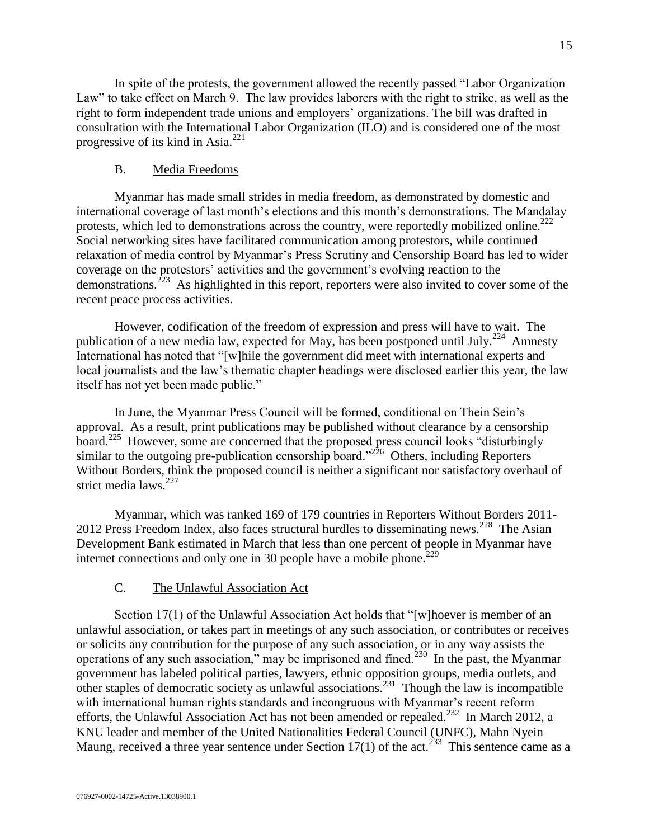In spite of the protests, the government allowed the recently passed "Labor Organization Law" to take effect on March 9. The law provides laborers with the right to strike, as well as the right to form independent trade unions and employers' organizations. The bill was drafted in consultation with the International Labor Organization (ILO) and is considered one of the most progressive of its kind in Asia. $^{221}$ 

#### B. Media Freedoms

<span id="page-14-0"></span>Myanmar has made small strides in media freedom, as demonstrated by domestic and international coverage of last month's elections and this month's demonstrations. The Mandalay protests, which led to demonstrations across the country, were reportedly mobilized online.<sup>222</sup> Social networking sites have facilitated communication among protestors, while continued relaxation of media control by Myanmar's Press Scrutiny and Censorship Board has led to wider coverage on the protestors' activities and the government's evolving reaction to the demonstrations.<sup>223</sup> As highlighted in this report, reporters were also invited to cover some of the recent peace process activities.

However, codification of the freedom of expression and press will have to wait. The publication of a new media law, expected for May, has been postponed until July.<sup>224</sup> Amnesty International has noted that "[w]hile the government did meet with international experts and local journalists and the law's thematic chapter headings were disclosed earlier this year, the law itself has not yet been made public."

In June, the Myanmar Press Council will be formed, conditional on Thein Sein's approval. As a result, print publications may be published without clearance by a censorship board.<sup>225</sup> However, some are concerned that the proposed press council looks "disturbingly" similar to the outgoing pre-publication censorship board."<sup>226</sup> Others, including Reporters Without Borders, think the proposed council is neither a significant nor satisfactory overhaul of strict media laws.<sup>227</sup>

Myanmar, which was ranked 169 of 179 countries in Reporters Without Borders 2011- 2012 Press Freedom Index, also faces structural hurdles to disseminating news.<sup>228</sup> The Asian Development Bank estimated in March that less than one percent of people in Myanmar have internet connections and only one in 30 people have a mobile phone.<sup>229</sup>

# C. The Unlawful Association Act

<span id="page-14-1"></span>Section 17(1) of the Unlawful Association Act holds that "[w]hoever is member of an unlawful association, or takes part in meetings of any such association, or contributes or receives or solicits any contribution for the purpose of any such association, or in any way assists the operations of any such association," may be imprisoned and fined.<sup>230</sup> In the past, the Myanmar government has labeled political parties, lawyers, ethnic opposition groups, media outlets, and other staples of democratic society as unlawful associations.<sup>231</sup> Though the law is incompatible with international human rights standards and incongruous with Myanmar's recent reform efforts, the Unlawful Association Act has not been amended or repealed.<sup>232</sup> In March 2012, a KNU leader and member of the United Nationalities Federal Council (UNFC), Mahn Nyein Maung, received a three year sentence under Section 17(1) of the act.<sup>233</sup> This sentence came as a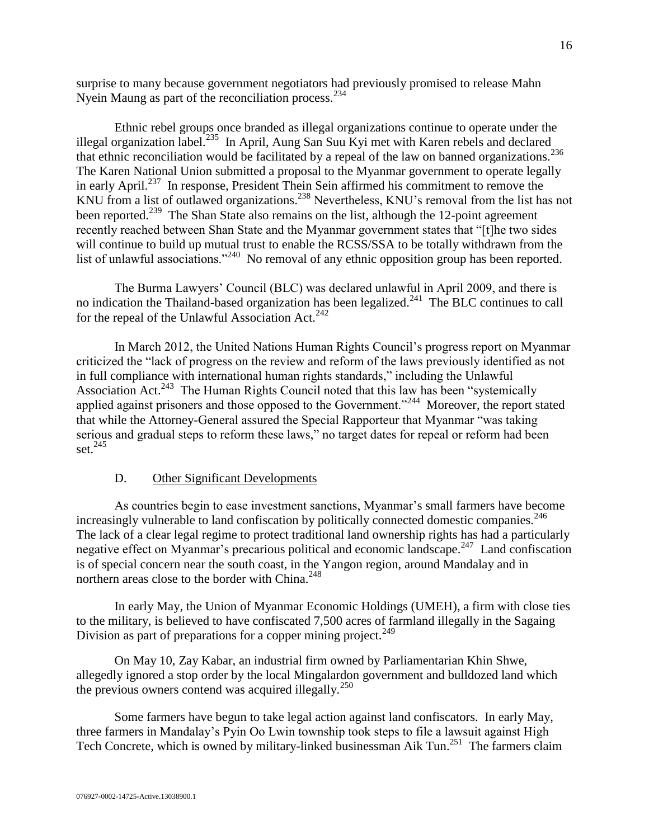surprise to many because government negotiators had previously promised to release Mahn Nyein Maung as part of the reconciliation process.<sup>234</sup>

Ethnic rebel groups once branded as illegal organizations continue to operate under the illegal organization label.<sup>235</sup> In April, Aung San Suu Kyi met with Karen rebels and declared that ethnic reconciliation would be facilitated by a repeal of the law on banned organizations.<sup>236</sup> The Karen National Union submitted a proposal to the Myanmar government to operate legally in early April.<sup>237</sup> In response, President Thein Sein affirmed his commitment to remove the KNU from a list of outlawed organizations.<sup>238</sup> Nevertheless, KNU's removal from the list has not been reported.<sup>239</sup> The Shan State also remains on the list, although the 12-point agreement recently reached between Shan State and the Myanmar government states that "[t]he two sides will continue to build up mutual trust to enable the RCSS/SSA to be totally withdrawn from the list of unlawful associations."<sup>240</sup> No removal of any ethnic opposition group has been reported.

The Burma Lawyers' Council (BLC) was declared unlawful in April 2009, and there is no indication the Thailand-based organization has been legalized.<sup>241</sup> The BLC continues to call for the repeal of the Unlawful Association Act.<sup>242</sup>

In March 2012, the United Nations Human Rights Council's progress report on Myanmar criticized the "lack of progress on the review and reform of the laws previously identified as not in full compliance with international human rights standards," including the Unlawful Association Act.<sup>243</sup> The Human Rights Council noted that this law has been "systemically applied against prisoners and those opposed to the Government."<sup>244</sup> Moreover, the report stated that while the Attorney-General assured the Special Rapporteur that Myanmar "was taking serious and gradual steps to reform these laws," no target dates for repeal or reform had been set. $245$ 

#### D. Other Significant Developments

<span id="page-15-0"></span>As countries begin to ease investment sanctions, Myanmar's small farmers have become increasingly vulnerable to land confiscation by politically connected domestic companies.<sup>246</sup> The lack of a clear legal regime to protect traditional land ownership rights has had a particularly negative effect on Myanmar's precarious political and economic landscape.<sup>247</sup> Land confiscation is of special concern near the south coast, in the Yangon region, around Mandalay and in northern areas close to the border with China.<sup>248</sup>

In early May, the Union of Myanmar Economic Holdings (UMEH), a firm with close ties to the military, is believed to have confiscated 7,500 acres of farmland illegally in the Sagaing Division as part of preparations for a copper mining project.<sup>249</sup>

On May 10, Zay Kabar, an industrial firm owned by Parliamentarian Khin Shwe, allegedly ignored a stop order by the local Mingalardon government and bulldozed land which the previous owners contend was acquired illegally.<sup>250</sup>

Some farmers have begun to take legal action against land confiscators. In early May, three farmers in Mandalay's Pyin Oo Lwin township took steps to file a lawsuit against High Tech Concrete, which is owned by military-linked businessman Aik Tun.<sup>251</sup> The farmers claim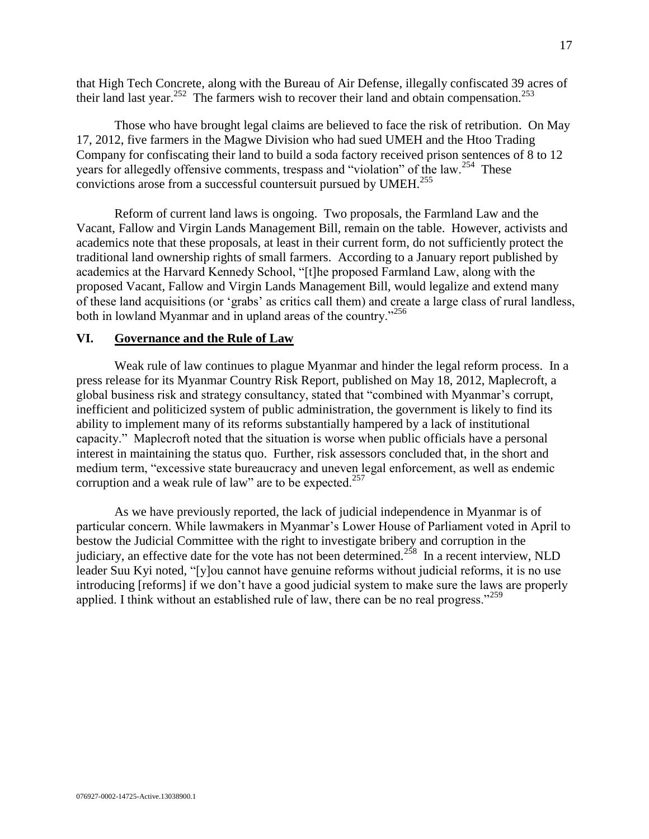that High Tech Concrete, along with the Bureau of Air Defense, illegally confiscated 39 acres of their land last year.<sup>252</sup> The farmers wish to recover their land and obtain compensation.<sup>253</sup>

Those who have brought legal claims are believed to face the risk of retribution. On May 17, 2012, five farmers in the Magwe Division who had sued UMEH and the Htoo Trading Company for confiscating their land to build a soda factory received prison sentences of 8 to 12 years for allegedly offensive comments, trespass and "violation" of the law.<sup>254</sup> These convictions arose from a successful countersuit pursued by  $UMEH<sup>.255</sup>$ 

Reform of current land laws is ongoing. Two proposals, the Farmland Law and the Vacant, Fallow and Virgin Lands Management Bill, remain on the table. However, activists and academics note that these proposals, at least in their current form, do not sufficiently protect the traditional land ownership rights of small farmers. According to a January report published by academics at the Harvard Kennedy School, "[t]he proposed Farmland Law, along with the proposed Vacant, Fallow and Virgin Lands Management Bill, would legalize and extend many of these land acquisitions (or 'grabs' as critics call them) and create a large class of rural landless, both in lowland Myanmar and in upland areas of the country."<sup>256</sup>

# <span id="page-16-0"></span>**VI. Governance and the Rule of Law**

Weak rule of law continues to plague Myanmar and hinder the legal reform process. In a press release for its Myanmar Country Risk Report, published on May 18, 2012, Maplecroft, a global business risk and strategy consultancy, stated that "combined with Myanmar's corrupt, inefficient and politicized system of public administration, the government is likely to find its ability to implement many of its reforms substantially hampered by a lack of institutional capacity." Maplecroft noted that the situation is worse when public officials have a personal interest in maintaining the status quo. Further, risk assessors concluded that, in the short and medium term, "excessive state bureaucracy and uneven legal enforcement, as well as endemic corruption and a weak rule of law" are to be expected.<sup>257</sup>

As we have previously reported, the lack of judicial independence in Myanmar is of particular concern. While lawmakers in Myanmar's Lower House of Parliament voted in April to bestow the Judicial Committee with the right to investigate bribery and corruption in the judiciary, an effective date for the vote has not been determined.<sup>258</sup> In a recent interview, NLD leader Suu Kyi noted, "[y]ou cannot have genuine reforms without judicial reforms, it is no use introducing [reforms] if we don't have a good judicial system to make sure the laws are properly applied. I think without an established rule of law, there can be no real progress."<sup>259</sup>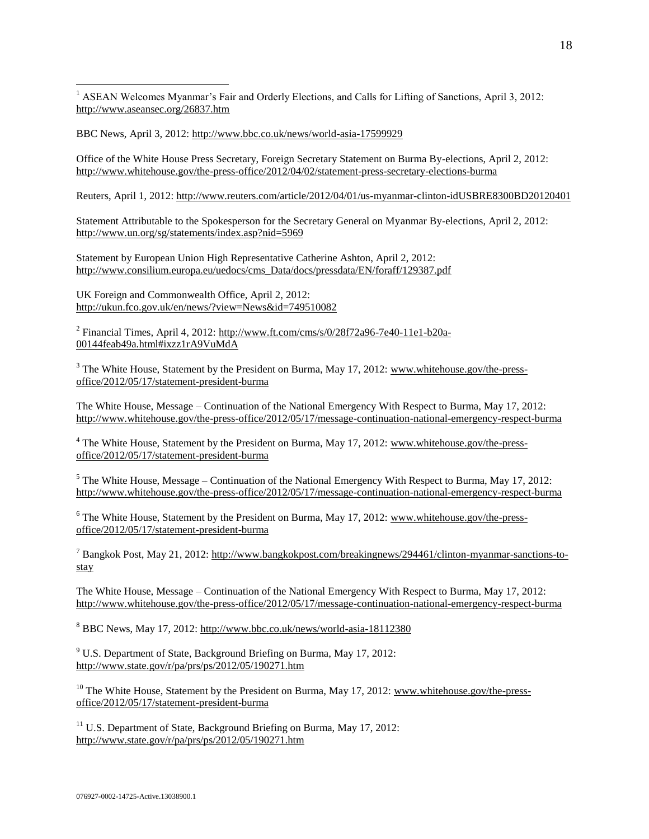$\overline{a}$ <sup>1</sup> ASEAN Welcomes Myanmar's Fair and Orderly Elections, and Calls for Lifting of Sanctions, April 3, 2012: <http://www.aseansec.org/26837.htm>

BBC News, April 3, 2012:<http://www.bbc.co.uk/news/world-asia-17599929>

Office of the White House Press Secretary, Foreign Secretary Statement on Burma By-elections, April 2, 2012: <http://www.whitehouse.gov/the-press-office/2012/04/02/statement-press-secretary-elections-burma>

Reuters, April 1, 2012[: http://www.reuters.com/article/2012/04/01/us-myanmar-clinton-idUSBRE8300BD20120401](http://www.reuters.com/article/2012/04/01/us-myanmar-clinton-idUSBRE8300BD20120401)

Statement Attributable to the Spokesperson for the Secretary General on Myanmar By-elections, April 2, 2012: <http://www.un.org/sg/statements/index.asp?nid=5969>

Statement by European Union High Representative Catherine Ashton, April 2, 2012: [http://www.consilium.europa.eu/uedocs/cms\\_Data/docs/pressdata/EN/foraff/129387.pdf](http://www.consilium.europa.eu/uedocs/cms_Data/docs/pressdata/EN/foraff/129387.pdf)

UK Foreign and Commonwealth Office, April 2, 2012: <http://ukun.fco.gov.uk/en/news/?view=News&id=749510082>

<sup>2</sup> Financial Times, April 4, 2012: [http://www.ft.com/cms/s/0/28f72a96-7e40-11e1-b20a-](http://www.ft.com/cms/s/0/28f72a96-7e40-11e1-b20a-00144feab49a.html#ixzz1rA9VuMdA)[00144feab49a.html#ixzz1rA9VuMdA](http://www.ft.com/cms/s/0/28f72a96-7e40-11e1-b20a-00144feab49a.html#ixzz1rA9VuMdA)

 $3$  The White House, Statement by the President on Burma, May 17, 2012: [www.whitehouse.gov/the-press](http://www.whitehouse.gov/the-press-office/2012/05/17/statement-president-burma)[office/2012/05/17/statement-president-burma](http://www.whitehouse.gov/the-press-office/2012/05/17/statement-president-burma) 

The White House, Message – Continuation of the National Emergency With Respect to Burma, May 17, 2012: <http://www.whitehouse.gov/the-press-office/2012/05/17/message-continuation-national-emergency-respect-burma>

<sup>4</sup> The White House, Statement by the President on Burma, May 17, 2012: [www.whitehouse.gov/the-press](http://www.whitehouse.gov/the-press-office/2012/05/17/statement-president-burma)[office/2012/05/17/statement-president-burma](http://www.whitehouse.gov/the-press-office/2012/05/17/statement-president-burma)

 $5$  The White House, Message – Continuation of the National Emergency With Respect to Burma, May 17, 2012: <http://www.whitehouse.gov/the-press-office/2012/05/17/message-continuation-national-emergency-respect-burma>

 $6$  The White House, Statement by the President on Burma, May 17, 2012: [www.whitehouse.gov/the-press](http://www.whitehouse.gov/the-press-office/2012/05/17/statement-president-burma)[office/2012/05/17/statement-president-burma](http://www.whitehouse.gov/the-press-office/2012/05/17/statement-president-burma)

<sup>7</sup> Bangkok Post, May 21, 2012[: http://www.bangkokpost.com/breakingnews/294461/clinton-myanmar-sanctions-to](http://www.bangkokpost.com/breakingnews/294461/clinton-myanmar-sanctions-to-stay)[stay](http://www.bangkokpost.com/breakingnews/294461/clinton-myanmar-sanctions-to-stay)

The White House, Message – Continuation of the National Emergency With Respect to Burma, May 17, 2012: <http://www.whitehouse.gov/the-press-office/2012/05/17/message-continuation-national-emergency-respect-burma>

<sup>8</sup> BBC News, May 17, 2012:<http://www.bbc.co.uk/news/world-asia-18112380>

<sup>9</sup> U.S. Department of State, Background Briefing on Burma, May 17, 2012: <http://www.state.gov/r/pa/prs/ps/2012/05/190271.htm>

 $10$  The White House, Statement by the President on Burma, May 17, 2012: [www.whitehouse.gov/the-press](http://www.whitehouse.gov/the-press-office/2012/05/17/statement-president-burma)[office/2012/05/17/statement-president-burma](http://www.whitehouse.gov/the-press-office/2012/05/17/statement-president-burma)

 $11$  U.S. Department of State, Background Briefing on Burma, May 17, 2012: <http://www.state.gov/r/pa/prs/ps/2012/05/190271.htm>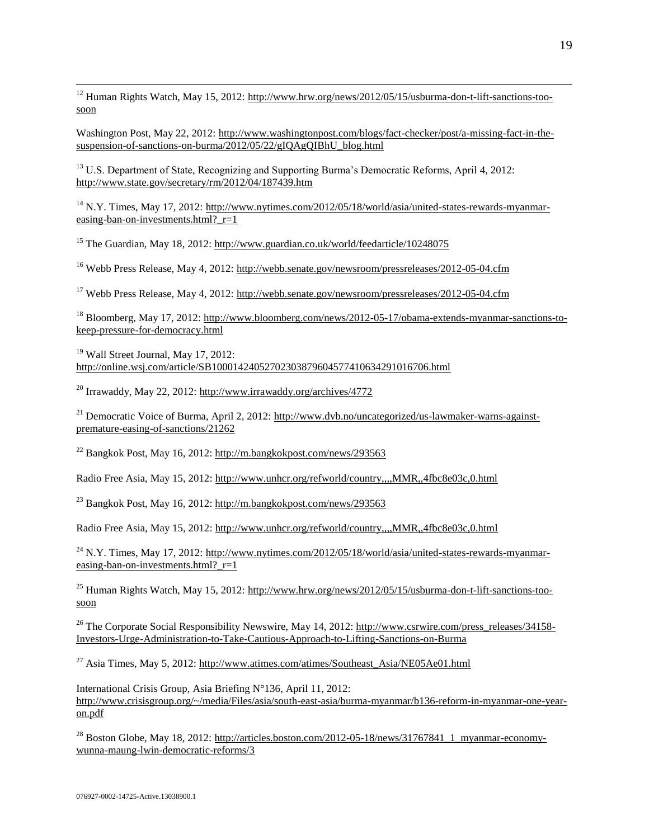<sup>12</sup> Human Rights Watch, May 15, 2012: [http://www.hrw.org/news/2012/05/15/usburma-don-t-lift-sanctions-too](http://www.hrw.org/news/2012/05/15/usburma-don-t-lift-sanctions-too-soon)[soon](http://www.hrw.org/news/2012/05/15/usburma-don-t-lift-sanctions-too-soon)

Washington Post, May 22, 2012: [http://www.washingtonpost.com/blogs/fact-checker/post/a-missing-fact-in-the](http://www.washingtonpost.com/blogs/fact-checker/post/a-missing-fact-in-the-suspension-of-sanctions-on-burma/2012/05/22/gIQAgQIBhU_blog.html)[suspension-of-sanctions-on-burma/2012/05/22/gIQAgQIBhU\\_blog.html](http://www.washingtonpost.com/blogs/fact-checker/post/a-missing-fact-in-the-suspension-of-sanctions-on-burma/2012/05/22/gIQAgQIBhU_blog.html)

<sup>13</sup> U.S. Department of State, Recognizing and Supporting Burma's Democratic Reforms, April 4, 2012: <http://www.state.gov/secretary/rm/2012/04/187439.htm>

<sup>14</sup> N.Y. Times, May 17, 2012: [http://www.nytimes.com/2012/05/18/world/asia/united-states-rewards-myanmar](http://www.nytimes.com/2012/05/18/world/asia/united-states-rewards-myanmar-easing-ban-on-investments.html?_r=1)easing-ban-on-investments.html?  $r=1$ 

<sup>15</sup> The Guardian, May 18, 2012:<http://www.guardian.co.uk/world/feedarticle/10248075>

<sup>16</sup> Webb Press Release, May 4, 2012:<http://webb.senate.gov/newsroom/pressreleases/2012-05-04.cfm>

<sup>17</sup> Webb Press Release, May 4, 2012:<http://webb.senate.gov/newsroom/pressreleases/2012-05-04.cfm>

<sup>18</sup> Bloomberg, May 17, 2012: [http://www.bloomberg.com/news/2012-05-17/obama-extends-myanmar-sanctions-to](http://www.bloomberg.com/news/2012-05-17/obama-extends-myanmar-sanctions-to-keep-pressure-for-democracy.html)[keep-pressure-for-democracy.html](http://www.bloomberg.com/news/2012-05-17/obama-extends-myanmar-sanctions-to-keep-pressure-for-democracy.html) 

<sup>19</sup> Wall Street Journal, May 17, 2012: <http://online.wsj.com/article/SB10001424052702303879604577410634291016706.html>

<sup>20</sup> Irrawaddy, May 22, 2012:<http://www.irrawaddy.org/archives/4772>

 $^{21}$  Democratic Voice of Burma, April 2, 2012: [http://www.dvb.no/uncategorized/us-lawmaker-warns-against](http://www.dvb.no/uncategorized/us-lawmaker-warns-against-premature-easing-of-sanctions/21262)[premature-easing-of-sanctions/21262](http://www.dvb.no/uncategorized/us-lawmaker-warns-against-premature-easing-of-sanctions/21262)

<sup>22</sup> Bangkok Post, May 16, 2012:<http://m.bangkokpost.com/news/293563>

Radio Free Asia, May 15, 2012:<http://www.unhcr.org/refworld/country,,,,MMR,,4fbc8e03c,0.html>

<sup>23</sup> Bangkok Post, May 16, 2012:<http://m.bangkokpost.com/news/293563>

Radio Free Asia, May 15, 2012:<http://www.unhcr.org/refworld/country,,,,MMR,,4fbc8e03c,0.html>

 $^{24}$  N.Y. Times, May 17, 2012: [http://www.nytimes.com/2012/05/18/world/asia/united-states-rewards-myanmar](http://www.nytimes.com/2012/05/18/world/asia/united-states-rewards-myanmar-easing-ban-on-investments.html?_r=1)easing-ban-on-investments.html?  $r=1$ 

<sup>25</sup> Human Rights Watch, May 15, 2012: [http://www.hrw.org/news/2012/05/15/usburma-don-t-lift-sanctions-too](http://www.hrw.org/news/2012/05/15/usburma-don-t-lift-sanctions-too-soon)[soon](http://www.hrw.org/news/2012/05/15/usburma-don-t-lift-sanctions-too-soon)

<sup>26</sup> The Corporate Social Responsibility Newswire, May 14, 2012: [http://www.csrwire.com/press\\_releases/34158-](http://www.csrwire.com/press_releases/34158-Investors-Urge-Administration-to-Take-Cautious-Approach-to-Lifting-Sanctions-on-Burma) [Investors-Urge-Administration-to-Take-Cautious-Approach-to-Lifting-Sanctions-on-Burma](http://www.csrwire.com/press_releases/34158-Investors-Urge-Administration-to-Take-Cautious-Approach-to-Lifting-Sanctions-on-Burma)

<sup>27</sup> Asia Times, May 5, 2012: [http://www.atimes.com/atimes/Southeast\\_Asia/NE05Ae01.html](http://www.atimes.com/atimes/Southeast_Asia/NE05Ae01.html)

International Crisis Group, Asia Briefing N°136, April 11, 2012: [http://www.crisisgroup.org/~/media/Files/asia/south-east-asia/burma-myanmar/b136-reform-in-myanmar-one-year](http://www.crisisgroup.org/~/media/Files/asia/south-east-asia/burma-myanmar/b136-reform-in-myanmar-one-year-on.pdf)[on.pdf](http://www.crisisgroup.org/~/media/Files/asia/south-east-asia/burma-myanmar/b136-reform-in-myanmar-one-year-on.pdf)

<sup>28</sup> Boston Globe, May 18, 2012: [http://articles.boston.com/2012-05-18/news/31767841\\_1\\_myanmar-economy](http://articles.boston.com/2012-05-18/news/31767841_1_myanmar-economy-wunna-maung-lwin-democratic-reforms/3)[wunna-maung-lwin-democratic-reforms/3](http://articles.boston.com/2012-05-18/news/31767841_1_myanmar-economy-wunna-maung-lwin-democratic-reforms/3)

 $\overline{a}$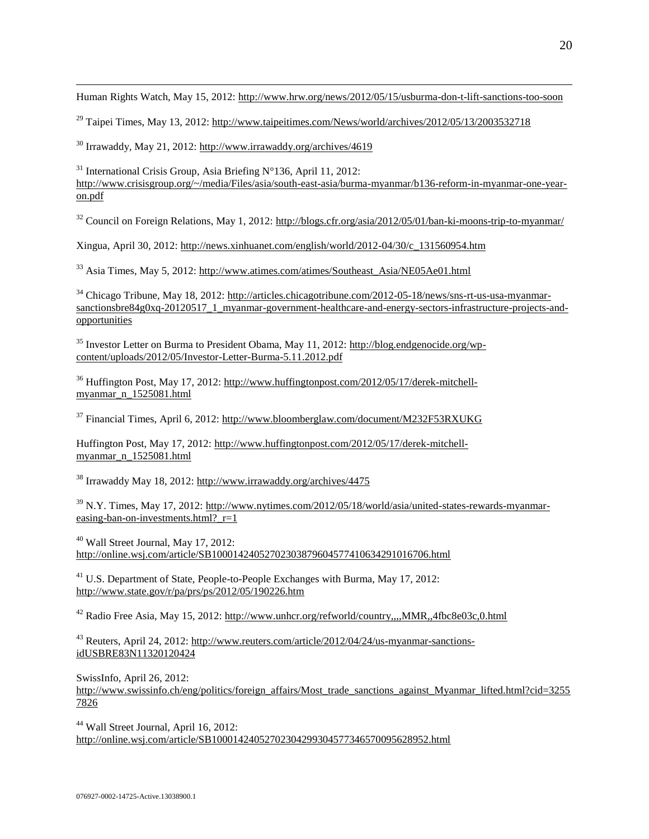Human Rights Watch, May 15, 2012:<http://www.hrw.org/news/2012/05/15/usburma-don-t-lift-sanctions-too-soon>

 $^{29}$  Taipei Times, May 13, 2012:<http://www.taipeitimes.com/News/world/archives/2012/05/13/2003532718>

<sup>30</sup> Irrawaddy, May 21, 2012:<http://www.irrawaddy.org/archives/4619>

 $\overline{a}$ 

<sup>31</sup> International Crisis Group, Asia Briefing  $N^{\circ}$ 136, April 11, 2012: [http://www.crisisgroup.org/~/media/Files/asia/south-east-asia/burma-myanmar/b136-reform-in-myanmar-one-year](http://www.crisisgroup.org/~/media/Files/asia/south-east-asia/burma-myanmar/b136-reform-in-myanmar-one-year-on.pdf)[on.pdf](http://www.crisisgroup.org/~/media/Files/asia/south-east-asia/burma-myanmar/b136-reform-in-myanmar-one-year-on.pdf)

 $32$  Council on Foreign Relations, May 1, 2012:<http://blogs.cfr.org/asia/2012/05/01/ban-ki-moons-trip-to-myanmar/>

Xingua, April 30, 2012: [http://news.xinhuanet.com/english/world/2012-04/30/c\\_131560954.htm](http://news.xinhuanet.com/english/world/2012-04/30/c_131560954.htm)

<sup>33</sup> Asia Times, May 5, 2012: [http://www.atimes.com/atimes/Southeast\\_Asia/NE05Ae01.html](http://www.atimes.com/atimes/Southeast_Asia/NE05Ae01.html)

<sup>34</sup> Chicago Tribune, May 18, 2012[: http://articles.chicagotribune.com/2012-05-18/news/sns-rt-us-usa-myanmar](http://articles.chicagotribune.com/2012-05-18/news/sns-rt-us-usa-myanmar-sanctionsbre84g0xq-20120517_1_myanmar-government-healthcare-and-energy-sectors-infrastructure-projects-and-opportunities)[sanctionsbre84g0xq-20120517\\_1\\_myanmar-government-healthcare-and-energy-sectors-infrastructure-projects-and](http://articles.chicagotribune.com/2012-05-18/news/sns-rt-us-usa-myanmar-sanctionsbre84g0xq-20120517_1_myanmar-government-healthcare-and-energy-sectors-infrastructure-projects-and-opportunities)[opportunities](http://articles.chicagotribune.com/2012-05-18/news/sns-rt-us-usa-myanmar-sanctionsbre84g0xq-20120517_1_myanmar-government-healthcare-and-energy-sectors-infrastructure-projects-and-opportunities) 

<sup>35</sup> Investor Letter on Burma to President Obama, May 11, 2012: [http://blog.endgenocide.org/wp](http://blog.endgenocide.org/wp-content/uploads/2012/05/Investor-Letter-Burma-5.11.2012.pdf)[content/uploads/2012/05/Investor-Letter-Burma-5.11.2012.pdf](http://blog.endgenocide.org/wp-content/uploads/2012/05/Investor-Letter-Burma-5.11.2012.pdf)

<sup>36</sup> Huffington Post, May 17, 2012: [http://www.huffingtonpost.com/2012/05/17/derek-mitchell](http://www.huffingtonpost.com/2012/05/17/derek-mitchell-myanmar_n_1525081.html)[myanmar\\_n\\_1525081.html](http://www.huffingtonpost.com/2012/05/17/derek-mitchell-myanmar_n_1525081.html) 

<sup>37</sup> Financial Times, April 6, 2012[: http://www.bloomberglaw.com/document/M232F53RXUKG](http://www.bloomberglaw.com/document/M232F53RXUKG)

Huffington Post, May 17, 2012: [http://www.huffingtonpost.com/2012/05/17/derek-mitchell](http://www.huffingtonpost.com/2012/05/17/derek-mitchell-myanmar_n_1525081.html)[myanmar\\_n\\_1525081.html](http://www.huffingtonpost.com/2012/05/17/derek-mitchell-myanmar_n_1525081.html) 

<sup>38</sup> Irrawaddy May 18, 2012[: http://www.irrawaddy.org/archives/4475](http://www.irrawaddy.org/archives/4475)

<sup>39</sup> N.Y. Times, May 17, 2012: [http://www.nytimes.com/2012/05/18/world/asia/united-states-rewards-myanmar](http://www.nytimes.com/2012/05/18/world/asia/united-states-rewards-myanmar-easing-ban-on-investments.html?_r=1)easing-ban-on-investments.html? $r=1$ 

<sup>40</sup> Wall Street Journal, May 17, 2012: <http://online.wsj.com/article/SB10001424052702303879604577410634291016706.html>

<sup>41</sup> U.S. Department of State, People-to-People Exchanges with Burma, May 17, 2012: <http://www.state.gov/r/pa/prs/ps/2012/05/190226.htm>

<sup>42</sup> Radio Free Asia, May 15, 2012:<http://www.unhcr.org/refworld/country,,,,MMR,,4fbc8e03c,0.html>

<sup>43</sup> Reuters, April 24, 2012: [http://www.reuters.com/article/2012/04/24/us-myanmar-sanctions](http://www.reuters.com/article/2012/04/24/us-myanmar-sanctions-idUSBRE83N11320120424)[idUSBRE83N11320120424](http://www.reuters.com/article/2012/04/24/us-myanmar-sanctions-idUSBRE83N11320120424)

SwissInfo, April 26, 2012:

[http://www.swissinfo.ch/eng/politics/foreign\\_affairs/Most\\_trade\\_sanctions\\_against\\_Myanmar\\_lifted.html?cid=3255](http://www.swissinfo.ch/eng/politics/foreign_affairs/Most_trade_sanctions_against_Myanmar_lifted.html?cid=32557826) [7826](http://www.swissinfo.ch/eng/politics/foreign_affairs/Most_trade_sanctions_against_Myanmar_lifted.html?cid=32557826)

<sup>44</sup> Wall Street Journal, April 16, 2012: <http://online.wsj.com/article/SB10001424052702304299304577346570095628952.html>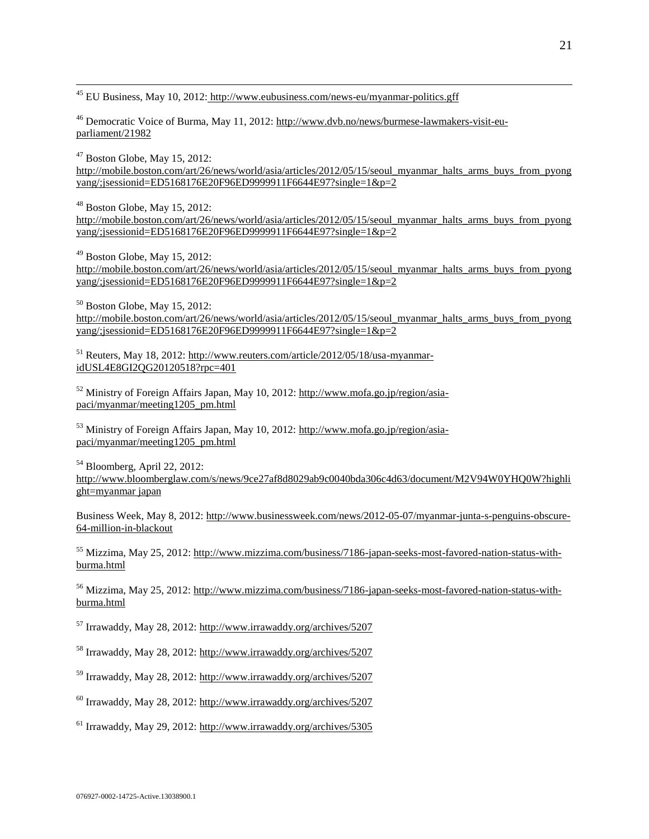$\overline{a}$ <sup>45</sup> EU Business, May 10, 2012: <http://www.eubusiness.com/news-eu/myanmar-politics.gff>

<sup>46</sup> Democratic Voice of Burma, May 11, 2012[: http://www.dvb.no/news/burmese-lawmakers-visit-eu](http://www.dvb.no/news/burmese-lawmakers-visit-eu-parliament/21982)[parliament/21982](http://www.dvb.no/news/burmese-lawmakers-visit-eu-parliament/21982)

 $47$  Boston Globe, May 15, 2012: [http://mobile.boston.com/art/26/news/world/asia/articles/2012/05/15/seoul\\_myanmar\\_halts\\_arms\\_buys\\_from\\_pyong](http://mobile.boston.com/art/26/news/world/asia/articles/2012/05/15/seoul_myanmar_halts_arms_buys_from_pyongyang/;jsessionid=ED5168176E20F96ED9999911F6644E97?single=1&p=2) [yang/;jsessionid=ED5168176E20F96ED9999911F6644E97?single=1&p=2](http://mobile.boston.com/art/26/news/world/asia/articles/2012/05/15/seoul_myanmar_halts_arms_buys_from_pyongyang/;jsessionid=ED5168176E20F96ED9999911F6644E97?single=1&p=2) 

 $48$  Boston Globe, May 15, 2012: [http://mobile.boston.com/art/26/news/world/asia/articles/2012/05/15/seoul\\_myanmar\\_halts\\_arms\\_buys\\_from\\_pyong](http://mobile.boston.com/art/26/news/world/asia/articles/2012/05/15/seoul_myanmar_halts_arms_buys_from_pyongyang/;jsessionid=ED5168176E20F96ED9999911F6644E97?single=1&p=2) [yang/;jsessionid=ED5168176E20F96ED9999911F6644E97?single=1&p=2](http://mobile.boston.com/art/26/news/world/asia/articles/2012/05/15/seoul_myanmar_halts_arms_buys_from_pyongyang/;jsessionid=ED5168176E20F96ED9999911F6644E97?single=1&p=2)

 $49$  Boston Globe, May 15, 2012: [http://mobile.boston.com/art/26/news/world/asia/articles/2012/05/15/seoul\\_myanmar\\_halts\\_arms\\_buys\\_from\\_pyong](http://mobile.boston.com/art/26/news/world/asia/articles/2012/05/15/seoul_myanmar_halts_arms_buys_from_pyongyang/;jsessionid=ED5168176E20F96ED9999911F6644E97?single=1&p=2) [yang/;jsessionid=ED5168176E20F96ED9999911F6644E97?single=1&p=2](http://mobile.boston.com/art/26/news/world/asia/articles/2012/05/15/seoul_myanmar_halts_arms_buys_from_pyongyang/;jsessionid=ED5168176E20F96ED9999911F6644E97?single=1&p=2)

 $50$  Boston Globe, May 15, 2012: [http://mobile.boston.com/art/26/news/world/asia/articles/2012/05/15/seoul\\_myanmar\\_halts\\_arms\\_buys\\_from\\_pyong](http://mobile.boston.com/art/26/news/world/asia/articles/2012/05/15/seoul_myanmar_halts_arms_buys_from_pyongyang/;jsessionid=ED5168176E20F96ED9999911F6644E97?single=1&p=2) [yang/;jsessionid=ED5168176E20F96ED9999911F6644E97?single=1&p=2](http://mobile.boston.com/art/26/news/world/asia/articles/2012/05/15/seoul_myanmar_halts_arms_buys_from_pyongyang/;jsessionid=ED5168176E20F96ED9999911F6644E97?single=1&p=2)

<sup>51</sup> Reuters, May 18, 2012[: http://www.reuters.com/article/2012/05/18/usa-myanmar](http://www.reuters.com/article/2012/05/18/usa-myanmar-idUSL4E8GI2QG20120518?rpc=401)[idUSL4E8GI2QG20120518?rpc=401](http://www.reuters.com/article/2012/05/18/usa-myanmar-idUSL4E8GI2QG20120518?rpc=401)

<sup>52</sup> Ministry of Foreign Affairs Japan, May 10, 2012: [http://www.mofa.go.jp/region/asia](http://www.mofa.go.jp/region/asia-paci/myanmar/meeting1205_pm.html)[paci/myanmar/meeting1205\\_pm.html](http://www.mofa.go.jp/region/asia-paci/myanmar/meeting1205_pm.html) 

<sup>53</sup> Ministry of Foreign Affairs Japan, May 10, 2012: [http://www.mofa.go.jp/region/asia](http://www.mofa.go.jp/region/asia-paci/myanmar/meeting1205_pm.html)[paci/myanmar/meeting1205\\_pm.html](http://www.mofa.go.jp/region/asia-paci/myanmar/meeting1205_pm.html) 

<sup>54</sup> Bloomberg, April 22, 2012: http://www.bloomberglaw.com/s/news/9ce27af8d8029ab9c0040bda306c4d63/document/M2V94W0YHQ0W?highli ght=myanmar japan

Business Week, May 8, 2012[: http://www.businessweek.com/news/2012-05-07/myanmar-junta-s-penguins-obscure-](http://www.businessweek.com/news/2012-05-07/myanmar-junta-s-penguins-obscure-64-million-in-blackout)[64-million-in-blackout](http://www.businessweek.com/news/2012-05-07/myanmar-junta-s-penguins-obscure-64-million-in-blackout)

<sup>55</sup> Mizzima, May 25, 2012[: http://www.mizzima.com/business/7186-japan-seeks-most-favored-nation-status-with](http://www.mizzima.com/business/7186-japan-seeks-most-favored-nation-status-with-burma.html)[burma.html](http://www.mizzima.com/business/7186-japan-seeks-most-favored-nation-status-with-burma.html)

<sup>56</sup> Mizzima, May 25, 2012[: http://www.mizzima.com/business/7186-japan-seeks-most-favored-nation-status-with](http://www.mizzima.com/business/7186-japan-seeks-most-favored-nation-status-with-burma.html)[burma.html](http://www.mizzima.com/business/7186-japan-seeks-most-favored-nation-status-with-burma.html)

<sup>57</sup> Irrawaddy, May 28, 2012:<http://www.irrawaddy.org/archives/5207>

<sup>58</sup> Irrawaddy, May 28, 2012:<http://www.irrawaddy.org/archives/5207>

<sup>59</sup> Irrawaddy, May 28, 2012:<http://www.irrawaddy.org/archives/5207>

 $^{60}$  Irrawaddy, May 28, 2012:<http://www.irrawaddy.org/archives/5207>

<sup>61</sup> Irrawaddy, May 29, 2012:<http://www.irrawaddy.org/archives/5305>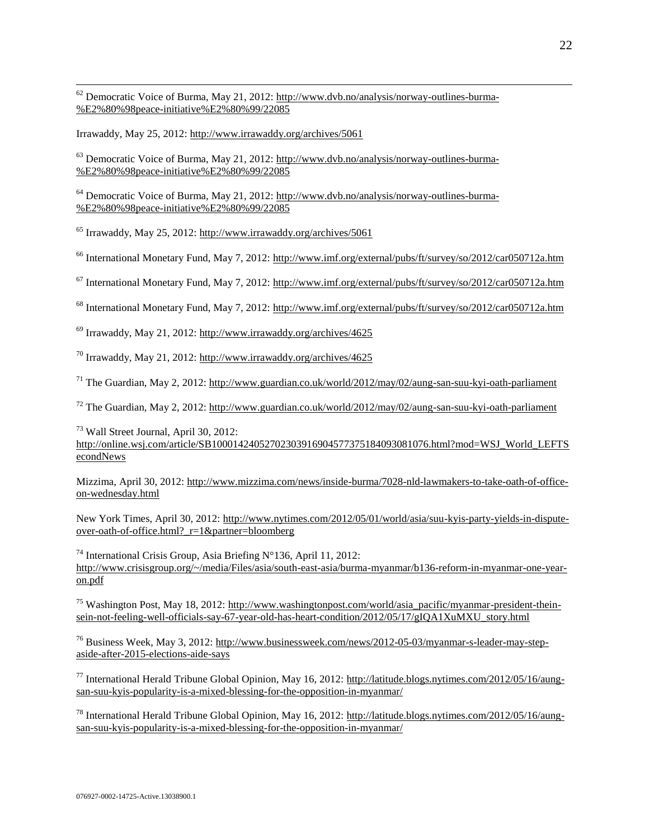$62$  Democratic Voice of Burma, May 21, 2012[: http://www.dvb.no/analysis/norway-outlines-burma-](http://www.dvb.no/analysis/norway-outlines-burma-%E2%80%98peace-initiative%E2%80%99/22085) [%E2%80%98peace-initiative%E2%80%99/22085](http://www.dvb.no/analysis/norway-outlines-burma-%E2%80%98peace-initiative%E2%80%99/22085)

Irrawaddy, May 25, 2012:<http://www.irrawaddy.org/archives/5061>

 $\overline{a}$ 

 $63$  Democratic Voice of Burma, May 21, 2012[: http://www.dvb.no/analysis/norway-outlines-burma-](http://www.dvb.no/analysis/norway-outlines-burma-%E2%80%98peace-initiative%E2%80%99/22085) [%E2%80%98peace-initiative%E2%80%99/22085](http://www.dvb.no/analysis/norway-outlines-burma-%E2%80%98peace-initiative%E2%80%99/22085)

<sup>64</sup> Democratic Voice of Burma, May 21, 2012[: http://www.dvb.no/analysis/norway-outlines-burma-](http://www.dvb.no/analysis/norway-outlines-burma-%E2%80%98peace-initiative%E2%80%99/22085) [%E2%80%98peace-initiative%E2%80%99/22085](http://www.dvb.no/analysis/norway-outlines-burma-%E2%80%98peace-initiative%E2%80%99/22085)

<sup>65</sup> Irrawaddy, May 25, 2012:<http://www.irrawaddy.org/archives/5061>

<sup>66</sup> International Monetary Fund, May 7, 2012:<http://www.imf.org/external/pubs/ft/survey/so/2012/car050712a.htm>

<sup>67</sup> International Monetary Fund, May 7, 2012:<http://www.imf.org/external/pubs/ft/survey/so/2012/car050712a.htm>

<sup>68</sup> International Monetary Fund, May 7, 2012:<http://www.imf.org/external/pubs/ft/survey/so/2012/car050712a.htm>

<sup>69</sup> Irrawaddy, May 21, 2012:<http://www.irrawaddy.org/archives/4625>

<sup>70</sup> Irrawaddy, May 21, 2012:<http://www.irrawaddy.org/archives/4625>

 $^{71}$  The Guardian, May 2, 2012:<http://www.guardian.co.uk/world/2012/may/02/aung-san-suu-kyi-oath-parliament>

<sup>72</sup> The Guardian, May 2, 2012:<http://www.guardian.co.uk/world/2012/may/02/aung-san-suu-kyi-oath-parliament>

<sup>73</sup> Wall Street Journal, April 30, 2012: [http://online.wsj.com/article/SB10001424052702303916904577375184093081076.html?mod=WSJ\\_World\\_LEFTS](http://online.wsj.com/article/SB10001424052702303916904577375184093081076.html?mod=WSJ_World_LEFTSecondNews) [econdNews](http://online.wsj.com/article/SB10001424052702303916904577375184093081076.html?mod=WSJ_World_LEFTSecondNews)

Mizzima, April 30, 2012: [http://www.mizzima.com/news/inside-burma/7028-nld-lawmakers-to-take-oath-of-office](http://www.mizzima.com/news/inside-burma/7028-nld-lawmakers-to-take-oath-of-office-on-wednesday.html)[on-wednesday.html](http://www.mizzima.com/news/inside-burma/7028-nld-lawmakers-to-take-oath-of-office-on-wednesday.html)

New York Times, April 30, 2012: [http://www.nytimes.com/2012/05/01/world/asia/suu-kyis-party-yields-in-dispute](http://www.nytimes.com/2012/05/01/world/asia/suu-kyis-party-yields-in-dispute-over-oath-of-office.html?_r=1&partner=bloomberg)[over-oath-of-office.html?\\_r=1&partner=bloomberg](http://www.nytimes.com/2012/05/01/world/asia/suu-kyis-party-yields-in-dispute-over-oath-of-office.html?_r=1&partner=bloomberg)

<sup>74</sup> International Crisis Group, Asia Briefing  $N^{\circ}$ 136, April 11, 2012: [http://www.crisisgroup.org/~/media/Files/asia/south-east-asia/burma-myanmar/b136-reform-in-myanmar-one-year](http://www.crisisgroup.org/~/media/Files/asia/south-east-asia/burma-myanmar/b136-reform-in-myanmar-one-year-on.pdf)[on.pdf](http://www.crisisgroup.org/~/media/Files/asia/south-east-asia/burma-myanmar/b136-reform-in-myanmar-one-year-on.pdf)

<sup>75</sup> Washington Post, May 18, 2012: [http://www.washingtonpost.com/world/asia\\_pacific/myanmar-president-thein](http://www.washingtonpost.com/world/asia_pacific/myanmar-president-thein-sein-not-feeling-well-officials-say-67-year-old-has-heart-condition/2012/05/17/gIQA1XuMXU_story.html)[sein-not-feeling-well-officials-say-67-year-old-has-heart-condition/2012/05/17/gIQA1XuMXU\\_story.html](http://www.washingtonpost.com/world/asia_pacific/myanmar-president-thein-sein-not-feeling-well-officials-say-67-year-old-has-heart-condition/2012/05/17/gIQA1XuMXU_story.html)

<sup>76</sup> Business Week, May 3, 2012[: http://www.businessweek.com/news/2012-05-03/myanmar-s-leader-may-step](http://www.businessweek.com/news/2012-05-03/myanmar-s-leader-may-step-aside-after-2015-elections-aide-says)[aside-after-2015-elections-aide-says](http://www.businessweek.com/news/2012-05-03/myanmar-s-leader-may-step-aside-after-2015-elections-aide-says)

<sup>77</sup> International Herald Tribune Global Opinion, May 16, 2012: [http://latitude.blogs.nytimes.com/2012/05/16/aung](http://latitude.blogs.nytimes.com/2012/05/16/aung-san-suu-kyis-popularity-is-a-mixed-blessing-for-the-opposition-in-myanmar/)[san-suu-kyis-popularity-is-a-mixed-blessing-for-the-opposition-in-myanmar/](http://latitude.blogs.nytimes.com/2012/05/16/aung-san-suu-kyis-popularity-is-a-mixed-blessing-for-the-opposition-in-myanmar/)

<sup>78</sup> International Herald Tribune Global Opinion, May 16, 2012: [http://latitude.blogs.nytimes.com/2012/05/16/aung](http://latitude.blogs.nytimes.com/2012/05/16/aung-san-suu-kyis-popularity-is-a-mixed-blessing-for-the-opposition-in-myanmar/)[san-suu-kyis-popularity-is-a-mixed-blessing-for-the-opposition-in-myanmar/](http://latitude.blogs.nytimes.com/2012/05/16/aung-san-suu-kyis-popularity-is-a-mixed-blessing-for-the-opposition-in-myanmar/)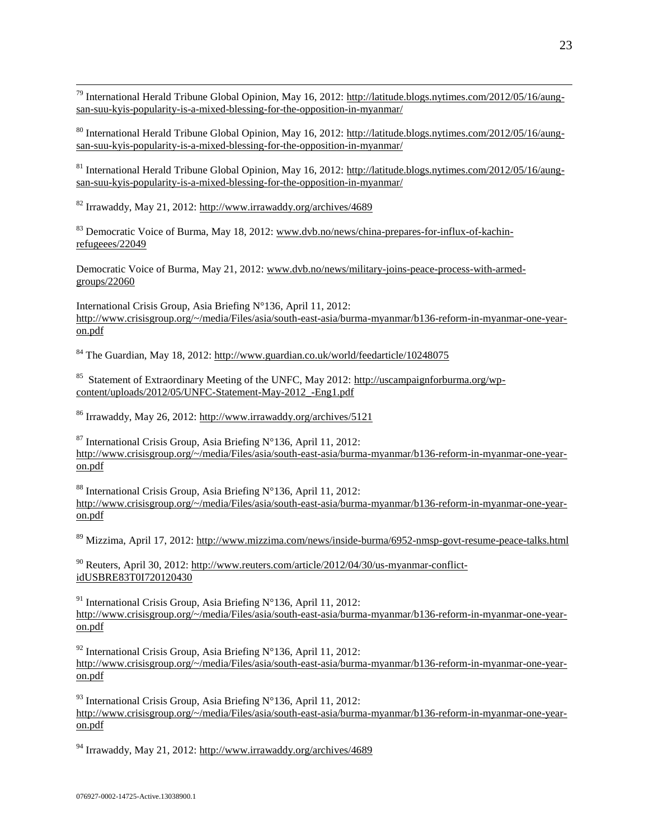$\overline{a}$ <sup>79</sup> International Herald Tribune Global Opinion, May 16, 2012: [http://latitude.blogs.nytimes.com/2012/05/16/aung](http://latitude.blogs.nytimes.com/2012/05/16/aung-san-suu-kyis-popularity-is-a-mixed-blessing-for-the-opposition-in-myanmar/)[san-suu-kyis-popularity-is-a-mixed-blessing-for-the-opposition-in-myanmar/](http://latitude.blogs.nytimes.com/2012/05/16/aung-san-suu-kyis-popularity-is-a-mixed-blessing-for-the-opposition-in-myanmar/)

<sup>80</sup> International Herald Tribune Global Opinion, May 16, 2012: [http://latitude.blogs.nytimes.com/2012/05/16/aung](http://latitude.blogs.nytimes.com/2012/05/16/aung-san-suu-kyis-popularity-is-a-mixed-blessing-for-the-opposition-in-myanmar/)[san-suu-kyis-popularity-is-a-mixed-blessing-for-the-opposition-in-myanmar/](http://latitude.blogs.nytimes.com/2012/05/16/aung-san-suu-kyis-popularity-is-a-mixed-blessing-for-the-opposition-in-myanmar/)

<sup>81</sup> International Herald Tribune Global Opinion, May 16, 2012: [http://latitude.blogs.nytimes.com/2012/05/16/aung](http://latitude.blogs.nytimes.com/2012/05/16/aung-san-suu-kyis-popularity-is-a-mixed-blessing-for-the-opposition-in-myanmar/)[san-suu-kyis-popularity-is-a-mixed-blessing-for-the-opposition-in-myanmar/](http://latitude.blogs.nytimes.com/2012/05/16/aung-san-suu-kyis-popularity-is-a-mixed-blessing-for-the-opposition-in-myanmar/)

<sup>82</sup> Irrawaddy, May 21, 2012:<http://www.irrawaddy.org/archives/4689>

<sup>83</sup> Democratic Voice of Burma, May 18, 2012[: www.dvb.no/news/china-prepares-for-influx-of-kachin](http://www.dvb.no/news/china-prepares-for-influx-of-kachin-refugeees/22049)[refugeees/22049](http://www.dvb.no/news/china-prepares-for-influx-of-kachin-refugeees/22049)

Democratic Voice of Burma, May 21, 2012[: www.dvb.no/news/military-joins-peace-process-with-armed](http://www.dvb.no/news/military-joins-peace-process-with-armed-groups/22060)[groups/22060](http://www.dvb.no/news/military-joins-peace-process-with-armed-groups/22060)

International Crisis Group, Asia Briefing N°136, April 11, 2012: [http://www.crisisgroup.org/~/media/Files/asia/south-east-asia/burma-myanmar/b136-reform-in-myanmar-one-year](http://www.crisisgroup.org/~/media/Files/asia/south-east-asia/burma-myanmar/b136-reform-in-myanmar-one-year-on.pdf)[on.pdf](http://www.crisisgroup.org/~/media/Files/asia/south-east-asia/burma-myanmar/b136-reform-in-myanmar-one-year-on.pdf)

<sup>84</sup> The Guardian, May 18, 2012:<http://www.guardian.co.uk/world/feedarticle/10248075>

<sup>85</sup> Statement of Extraordinary Meeting of the UNFC, May 2012: [http://uscampaignforburma.org/wp](http://uscampaignforburma.org/wp-content/uploads/2012/05/UNFC-Statement-May-2012_-Eng1.pdf)[content/uploads/2012/05/UNFC-Statement-May-2012\\_-Eng1.pdf](http://uscampaignforburma.org/wp-content/uploads/2012/05/UNFC-Statement-May-2012_-Eng1.pdf)

<sup>86</sup> Irrawaddy, May 26, 2012:<http://www.irrawaddy.org/archives/5121>

 $87$  International Crisis Group, Asia Briefing N°136, April 11, 2012: [http://www.crisisgroup.org/~/media/Files/asia/south-east-asia/burma-myanmar/b136-reform-in-myanmar-one-year](http://www.crisisgroup.org/~/media/Files/asia/south-east-asia/burma-myanmar/b136-reform-in-myanmar-one-year-on.pdf)[on.pdf](http://www.crisisgroup.org/~/media/Files/asia/south-east-asia/burma-myanmar/b136-reform-in-myanmar-one-year-on.pdf)

<sup>88</sup> International Crisis Group, Asia Briefing N°136, April 11, 2012: [http://www.crisisgroup.org/~/media/Files/asia/south-east-asia/burma-myanmar/b136-reform-in-myanmar-one-year](http://www.crisisgroup.org/~/media/Files/asia/south-east-asia/burma-myanmar/b136-reform-in-myanmar-one-year-on.pdf)[on.pdf](http://www.crisisgroup.org/~/media/Files/asia/south-east-asia/burma-myanmar/b136-reform-in-myanmar-one-year-on.pdf)

<sup>89</sup> Mizzima, April 17, 2012:<http://www.mizzima.com/news/inside-burma/6952-nmsp-govt-resume-peace-talks.html>

<sup>90</sup> Reuters, April 30, 2012: [http://www.reuters.com/article/2012/04/30/us-myanmar-conflict](http://www.reuters.com/article/2012/04/30/us-myanmar-conflict-idUSBRE83T0I720120430)[idUSBRE83T0I720120430](http://www.reuters.com/article/2012/04/30/us-myanmar-conflict-idUSBRE83T0I720120430)

<sup>91</sup> International Crisis Group, Asia Briefing  $N^{\circ}$ 136, April 11, 2012: [http://www.crisisgroup.org/~/media/Files/asia/south-east-asia/burma-myanmar/b136-reform-in-myanmar-one-year](http://www.crisisgroup.org/~/media/Files/asia/south-east-asia/burma-myanmar/b136-reform-in-myanmar-one-year-on.pdf)[on.pdf](http://www.crisisgroup.org/~/media/Files/asia/south-east-asia/burma-myanmar/b136-reform-in-myanmar-one-year-on.pdf)

<sup>92</sup> International Crisis Group, Asia Briefing N°136, April 11, 2012: [http://www.crisisgroup.org/~/media/Files/asia/south-east-asia/burma-myanmar/b136-reform-in-myanmar-one-year](http://www.crisisgroup.org/~/media/Files/asia/south-east-asia/burma-myanmar/b136-reform-in-myanmar-one-year-on.pdf)[on.pdf](http://www.crisisgroup.org/~/media/Files/asia/south-east-asia/burma-myanmar/b136-reform-in-myanmar-one-year-on.pdf)

<sup>93</sup> International Crisis Group, Asia Briefing N°136, April 11, 2012: [http://www.crisisgroup.org/~/media/Files/asia/south-east-asia/burma-myanmar/b136-reform-in-myanmar-one-year](http://www.crisisgroup.org/~/media/Files/asia/south-east-asia/burma-myanmar/b136-reform-in-myanmar-one-year-on.pdf)[on.pdf](http://www.crisisgroup.org/~/media/Files/asia/south-east-asia/burma-myanmar/b136-reform-in-myanmar-one-year-on.pdf)

<sup>94</sup> Irrawaddy, May 21, 2012:<http://www.irrawaddy.org/archives/4689>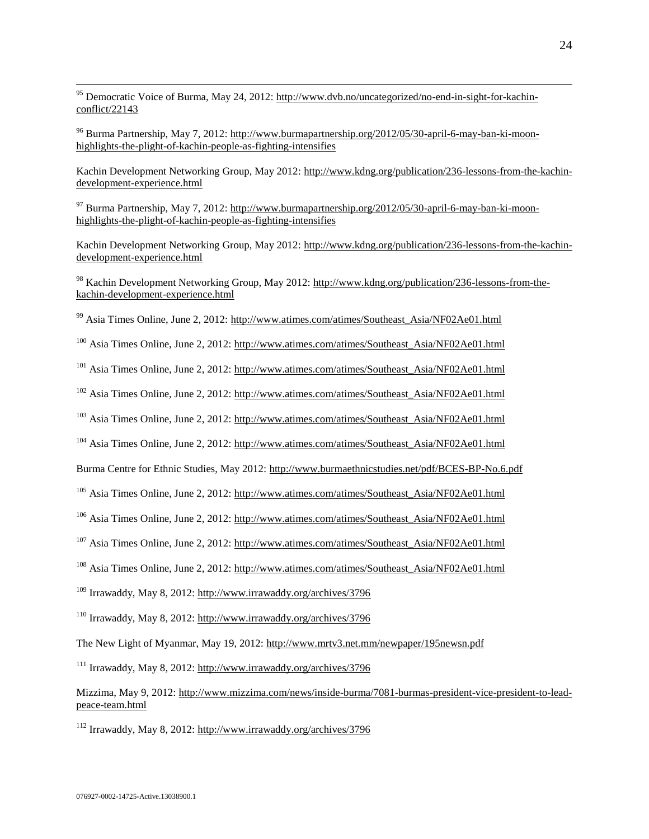<sup>95</sup> Democratic Voice of Burma, May 24, 2012[: http://www.dvb.no/uncategorized/no-end-in-sight-for-kachin](http://www.dvb.no/uncategorized/no-end-in-sight-for-kachin-conflict/22143)[conflict/22143](http://www.dvb.no/uncategorized/no-end-in-sight-for-kachin-conflict/22143)

<sup>96</sup> Burma Partnership, May 7, 2012: [http://www.burmapartnership.org/2012/05/30-april-6-may-ban-ki-moon](http://www.burmapartnership.org/2012/05/30-april-6-may-ban-ki-moon-highlights-the-plight-of-kachin-people-as-fighting-intensifies)[highlights-the-plight-of-kachin-people-as-fighting-intensifies](http://www.burmapartnership.org/2012/05/30-april-6-may-ban-ki-moon-highlights-the-plight-of-kachin-people-as-fighting-intensifies) 

Kachin Development Networking Group, May 2012[: http://www.kdng.org/publication/236-lessons-from-the-kachin](http://www.kdng.org/publication/236-lessons-from-the-kachin-development-experience.html)[development-experience.html](http://www.kdng.org/publication/236-lessons-from-the-kachin-development-experience.html)

 $^{97}$  Burma Partnership, May 7, 2012: [http://www.burmapartnership.org/2012/05/30-april-6-may-ban-ki-moon](http://www.burmapartnership.org/2012/05/30-april-6-may-ban-ki-moon-highlights-the-plight-of-kachin-people-as-fighting-intensifies)[highlights-the-plight-of-kachin-people-as-fighting-intensifies](http://www.burmapartnership.org/2012/05/30-april-6-may-ban-ki-moon-highlights-the-plight-of-kachin-people-as-fighting-intensifies) 

Kachin Development Networking Group, May 2012[: http://www.kdng.org/publication/236-lessons-from-the-kachin](http://www.kdng.org/publication/236-lessons-from-the-kachin-development-experience.html)[development-experience.html](http://www.kdng.org/publication/236-lessons-from-the-kachin-development-experience.html)

<sup>98</sup> Kachin Development Networking Group, May 2012: [http://www.kdng.org/publication/236-lessons-from-the](http://www.kdng.org/publication/236-lessons-from-the-kachin-development-experience.html)[kachin-development-experience.html](http://www.kdng.org/publication/236-lessons-from-the-kachin-development-experience.html)

<sup>99</sup> Asia Times Online, June 2, 2012[: http://www.atimes.com/atimes/Southeast\\_Asia/NF02Ae01.html](http://www.atimes.com/atimes/Southeast_Asia/NF02Ae01.html)

<sup>100</sup> Asia Times Online, June 2, 2012: [http://www.atimes.com/atimes/Southeast\\_Asia/NF02Ae01.html](http://www.atimes.com/atimes/Southeast_Asia/NF02Ae01.html)

<sup>101</sup> Asia Times Online, June 2, 2012: [http://www.atimes.com/atimes/Southeast\\_Asia/NF02Ae01.html](http://www.atimes.com/atimes/Southeast_Asia/NF02Ae01.html)

<sup>102</sup> Asia Times Online, June 2, 2012: [http://www.atimes.com/atimes/Southeast\\_Asia/NF02Ae01.html](http://www.atimes.com/atimes/Southeast_Asia/NF02Ae01.html)

<sup>103</sup> Asia Times Online, June 2, 2012: [http://www.atimes.com/atimes/Southeast\\_Asia/NF02Ae01.html](http://www.atimes.com/atimes/Southeast_Asia/NF02Ae01.html)

<sup>104</sup> Asia Times Online, June 2, 2012: [http://www.atimes.com/atimes/Southeast\\_Asia/NF02Ae01.html](http://www.atimes.com/atimes/Southeast_Asia/NF02Ae01.html)

Burma Centre for Ethnic Studies, May 2012:<http://www.burmaethnicstudies.net/pdf/BCES-BP-No.6.pdf>

<sup>105</sup> Asia Times Online, June 2, 2012: [http://www.atimes.com/atimes/Southeast\\_Asia/NF02Ae01.html](http://www.atimes.com/atimes/Southeast_Asia/NF02Ae01.html)

<sup>106</sup> Asia Times Online, June 2, 2012: [http://www.atimes.com/atimes/Southeast\\_Asia/NF02Ae01.html](http://www.atimes.com/atimes/Southeast_Asia/NF02Ae01.html)

<sup>107</sup> Asia Times Online, June 2, 2012: [http://www.atimes.com/atimes/Southeast\\_Asia/NF02Ae01.html](http://www.atimes.com/atimes/Southeast_Asia/NF02Ae01.html)

<sup>108</sup> Asia Times Online, June 2, 2012: [http://www.atimes.com/atimes/Southeast\\_Asia/NF02Ae01.html](http://www.atimes.com/atimes/Southeast_Asia/NF02Ae01.html)

<sup>109</sup> Irrawaddy, May 8, 2012:<http://www.irrawaddy.org/archives/3796>

<sup>110</sup> Irrawaddy, May 8, 2012:<http://www.irrawaddy.org/archives/3796>

The New Light of Myanmar, May 19, 2012:<http://www.mrtv3.net.mm/newpaper/195newsn.pdf>

<sup>111</sup> Irrawaddy, May 8, 2012:<http://www.irrawaddy.org/archives/3796>

Mizzima, May 9, 2012[: http://www.mizzima.com/news/inside-burma/7081-burmas-president-vice-president-to-lead](http://www.mizzima.com/news/inside-burma/7081-burmas-president-vice-president-to-lead-peace-team.html)[peace-team.html](http://www.mizzima.com/news/inside-burma/7081-burmas-president-vice-president-to-lead-peace-team.html)

<sup>112</sup> Irrawaddy, May 8, 2012:<http://www.irrawaddy.org/archives/3796>

 $\overline{a}$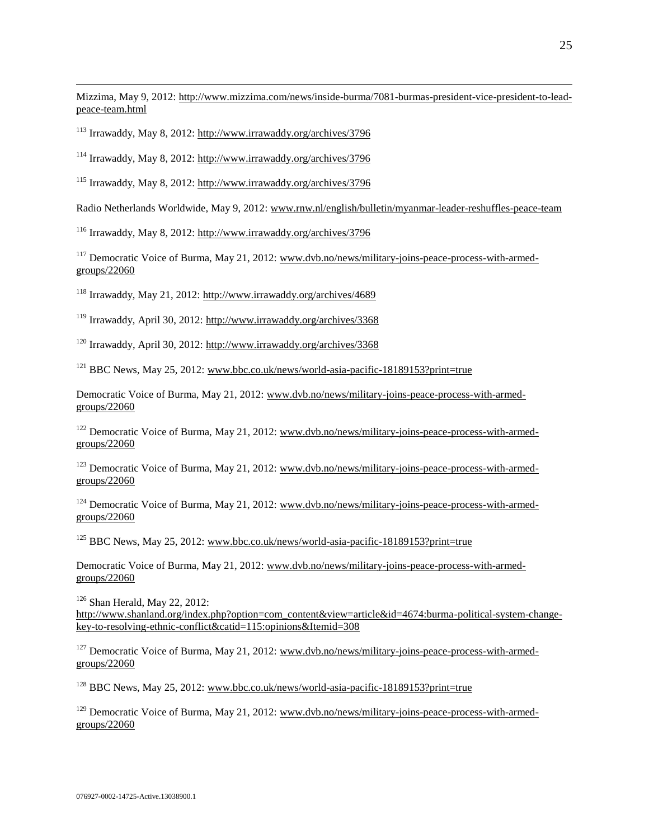Mizzima, May 9, 2012[: http://www.mizzima.com/news/inside-burma/7081-burmas-president-vice-president-to-lead](http://www.mizzima.com/news/inside-burma/7081-burmas-president-vice-president-to-lead-peace-team.html)[peace-team.html](http://www.mizzima.com/news/inside-burma/7081-burmas-president-vice-president-to-lead-peace-team.html)

<sup>113</sup> Irrawaddy, May 8, 2012:<http://www.irrawaddy.org/archives/3796>

 $\overline{a}$ 

<sup>114</sup> Irrawaddy, May 8, 2012:<http://www.irrawaddy.org/archives/3796>

<sup>115</sup> Irrawaddy, May 8, 2012:<http://www.irrawaddy.org/archives/3796>

Radio Netherlands Worldwide, May 9, 2012: [www.rnw.nl/english/bulletin/myanmar-leader-reshuffles-peace-team](http://www.rnw.nl/english/bulletin/myanmar-leader-reshuffles-peace-team)

<sup>116</sup> Irrawaddy, May 8, 2012:<http://www.irrawaddy.org/archives/3796>

<sup>117</sup> Democratic Voice of Burma, May 21, 2012: [www.dvb.no/news/military-joins-peace-process-with-armed](http://www.dvb.no/news/military-joins-peace-process-with-armed-groups/22060)[groups/22060](http://www.dvb.no/news/military-joins-peace-process-with-armed-groups/22060)

<sup>118</sup> Irrawaddy, May 21, 2012:<http://www.irrawaddy.org/archives/4689>

<sup>119</sup> Irrawaddy, April 30, 2012:<http://www.irrawaddy.org/archives/3368>

<sup>120</sup> Irrawaddy, April 30, 2012:<http://www.irrawaddy.org/archives/3368>

 $121$  BBC News, May 25, 2012[: www.bbc.co.uk/news/world-asia-pacific-18189153?print=true](http://www.bbc.co.uk/news/world-asia-pacific-18189153?print=true)

Democratic Voice of Burma, May 21, 2012[: www.dvb.no/news/military-joins-peace-process-with-armed](http://www.dvb.no/news/military-joins-peace-process-with-armed-groups/22060)[groups/22060](http://www.dvb.no/news/military-joins-peace-process-with-armed-groups/22060)

<sup>122</sup> Democratic Voice of Burma, May 21, 2012: [www.dvb.no/news/military-joins-peace-process-with-armed](http://www.dvb.no/news/military-joins-peace-process-with-armed-groups/22060)[groups/22060](http://www.dvb.no/news/military-joins-peace-process-with-armed-groups/22060)

 $123$  Democratic Voice of Burma, May 21, 2012: [www.dvb.no/news/military-joins-peace-process-with-armed](http://www.dvb.no/news/military-joins-peace-process-with-armed-groups/22060)[groups/22060](http://www.dvb.no/news/military-joins-peace-process-with-armed-groups/22060)

<sup>124</sup> Democratic Voice of Burma, May 21, 2012: [www.dvb.no/news/military-joins-peace-process-with-armed](http://www.dvb.no/news/military-joins-peace-process-with-armed-groups/22060)[groups/22060](http://www.dvb.no/news/military-joins-peace-process-with-armed-groups/22060)

<sup>125</sup> BBC News, May 25, 2012[: www.bbc.co.uk/news/world-asia-pacific-18189153?print=true](http://www.bbc.co.uk/news/world-asia-pacific-18189153?print=true)

Democratic Voice of Burma, May 21, 2012[: www.dvb.no/news/military-joins-peace-process-with-armed](http://www.dvb.no/news/military-joins-peace-process-with-armed-groups/22060)[groups/22060](http://www.dvb.no/news/military-joins-peace-process-with-armed-groups/22060)

 $126$  Shan Herald, May 22, 2012: [http://www.shanland.org/index.php?option=com\\_content&view=article&id=4674:burma-political-system-change](http://www.shanland.org/index.php?option=com_content&view=article&id=4674:burma-political-system-change-key-to-resolving-ethnic-conflict&catid=115:opinions&Itemid=308)[key-to-resolving-ethnic-conflict&catid=115:opinions&Itemid=308](http://www.shanland.org/index.php?option=com_content&view=article&id=4674:burma-political-system-change-key-to-resolving-ethnic-conflict&catid=115:opinions&Itemid=308)

<sup>127</sup> Democratic Voice of Burma, May 21, 2012: [www.dvb.no/news/military-joins-peace-process-with-armed](http://www.dvb.no/news/military-joins-peace-process-with-armed-groups/22060)[groups/22060](http://www.dvb.no/news/military-joins-peace-process-with-armed-groups/22060)

<sup>128</sup> BBC News, May 25, 2012[: www.bbc.co.uk/news/world-asia-pacific-18189153?print=true](http://www.bbc.co.uk/news/world-asia-pacific-18189153?print=true)

<sup>129</sup> Democratic Voice of Burma, May 21, 2012: [www.dvb.no/news/military-joins-peace-process-with-armed](http://www.dvb.no/news/military-joins-peace-process-with-armed-groups/22060)[groups/22060](http://www.dvb.no/news/military-joins-peace-process-with-armed-groups/22060)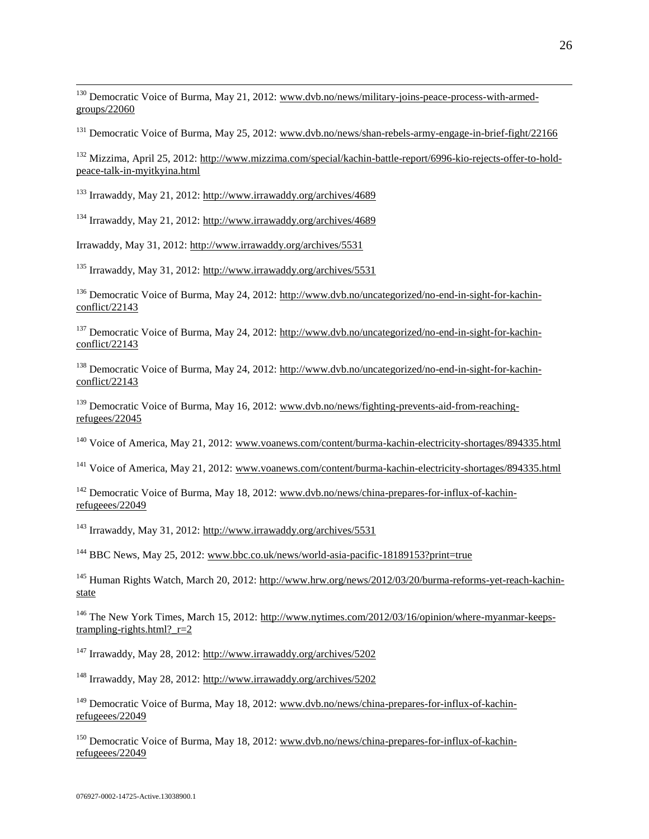<sup>130</sup> Democratic Voice of Burma, May 21, 2012: [www.dvb.no/news/military-joins-peace-process-with-armed](http://www.dvb.no/news/military-joins-peace-process-with-armed-groups/22060)[groups/22060](http://www.dvb.no/news/military-joins-peace-process-with-armed-groups/22060)

<sup>131</sup> Democratic Voice of Burma, May 25, 2012: [www.dvb.no/news/shan-rebels-army-engage-in-brief-fight/22166](http://www.dvb.no/news/shan-rebels-army-engage-in-brief-fight/22166)

<sup>132</sup> Mizzima, April 25, 2012[: http://www.mizzima.com/special/kachin-battle-report/6996-kio-rejects-offer-to-hold](http://www.mizzima.com/special/kachin-battle-report/6996-kio-rejects-offer-to-hold-peace-talk-in-myitkyina.html)[peace-talk-in-myitkyina.html](http://www.mizzima.com/special/kachin-battle-report/6996-kio-rejects-offer-to-hold-peace-talk-in-myitkyina.html)

<sup>133</sup> Irrawaddy, May 21, 2012:<http://www.irrawaddy.org/archives/4689>

 $\overline{a}$ 

<sup>134</sup> Irrawaddy, May 21, 2012:<http://www.irrawaddy.org/archives/4689>

Irrawaddy, May 31, 2012:<http://www.irrawaddy.org/archives/5531>

<sup>135</sup> Irrawaddy, May 31, 2012:<http://www.irrawaddy.org/archives/5531>

<sup>136</sup> Democratic Voice of Burma, May 24, 2012: [http://www.dvb.no/uncategorized/no-end-in-sight-for-kachin](http://www.dvb.no/uncategorized/no-end-in-sight-for-kachin-conflict/22143)[conflict/22143](http://www.dvb.no/uncategorized/no-end-in-sight-for-kachin-conflict/22143)

<sup>137</sup> Democratic Voice of Burma, May 24, 2012: [http://www.dvb.no/uncategorized/no-end-in-sight-for-kachin](http://www.dvb.no/uncategorized/no-end-in-sight-for-kachin-conflict/22143)[conflict/22143](http://www.dvb.no/uncategorized/no-end-in-sight-for-kachin-conflict/22143)

<sup>138</sup> Democratic Voice of Burma, May 24, 2012: [http://www.dvb.no/uncategorized/no-end-in-sight-for-kachin](http://www.dvb.no/uncategorized/no-end-in-sight-for-kachin-conflict/22143)[conflict/22143](http://www.dvb.no/uncategorized/no-end-in-sight-for-kachin-conflict/22143)

<sup>139</sup> Democratic Voice of Burma, May 16, 2012: [www.dvb.no/news/fighting-prevents-aid-from-reaching](http://www.dvb.no/news/fighting-prevents-aid-from-reaching-refugees/22045)[refugees/22045](http://www.dvb.no/news/fighting-prevents-aid-from-reaching-refugees/22045)

<sup>140</sup> Voice of America, May 21, 2012: [www.voanews.com/content/burma-kachin-electricity-shortages/894335.html](http://www.voanews.com/content/burma-kachin-electricity-shortages/894335.html)

<sup>141</sup> Voice of America, May 21, 2012: www.yoanews.com/content/burma-kachin-electricity-shortages/894335.html

<sup>142</sup> Democratic Voice of Burma, May 18, 2012: [www.dvb.no/news/china-prepares-for-influx-of-kachin](http://www.dvb.no/news/china-prepares-for-influx-of-kachin-refugeees/22049)[refugeees/22049](http://www.dvb.no/news/china-prepares-for-influx-of-kachin-refugeees/22049)

<sup>143</sup> Irrawaddy, May 31, 2012:<http://www.irrawaddy.org/archives/5531>

<sup>144</sup> BBC News, May 25, 2012[: www.bbc.co.uk/news/world-asia-pacific-18189153?print=true](http://www.bbc.co.uk/news/world-asia-pacific-18189153?print=true)

<sup>145</sup> Human Rights Watch, March 20, 2012: [http://www.hrw.org/news/2012/03/20/burma-reforms-yet-reach-kachin](http://www.hrw.org/news/2012/03/20/burma-reforms-yet-reach-kachin-state)[state](http://www.hrw.org/news/2012/03/20/burma-reforms-yet-reach-kachin-state)

<sup>146</sup> The New York Times, March 15, 2012[: http://www.nytimes.com/2012/03/16/opinion/where-myanmar-keeps](http://www.nytimes.com/2012/03/16/opinion/where-myanmar-keeps-trampling-rights.html?_r=2)trampling-rights.html? $r=2$ 

<sup>147</sup> Irrawaddy, May 28, 2012:<http://www.irrawaddy.org/archives/5202>

<sup>148</sup> Irrawaddy, May 28, 2012:<http://www.irrawaddy.org/archives/5202>

<sup>149</sup> Democratic Voice of Burma, May 18, 2012: [www.dvb.no/news/china-prepares-for-influx-of-kachin](http://www.dvb.no/news/china-prepares-for-influx-of-kachin-refugeees/22049)[refugeees/22049](http://www.dvb.no/news/china-prepares-for-influx-of-kachin-refugeees/22049)

<sup>150</sup> Democratic Voice of Burma, May 18, 2012: [www.dvb.no/news/china-prepares-for-influx-of-kachin](http://www.dvb.no/news/china-prepares-for-influx-of-kachin-refugeees/22049)[refugeees/22049](http://www.dvb.no/news/china-prepares-for-influx-of-kachin-refugeees/22049)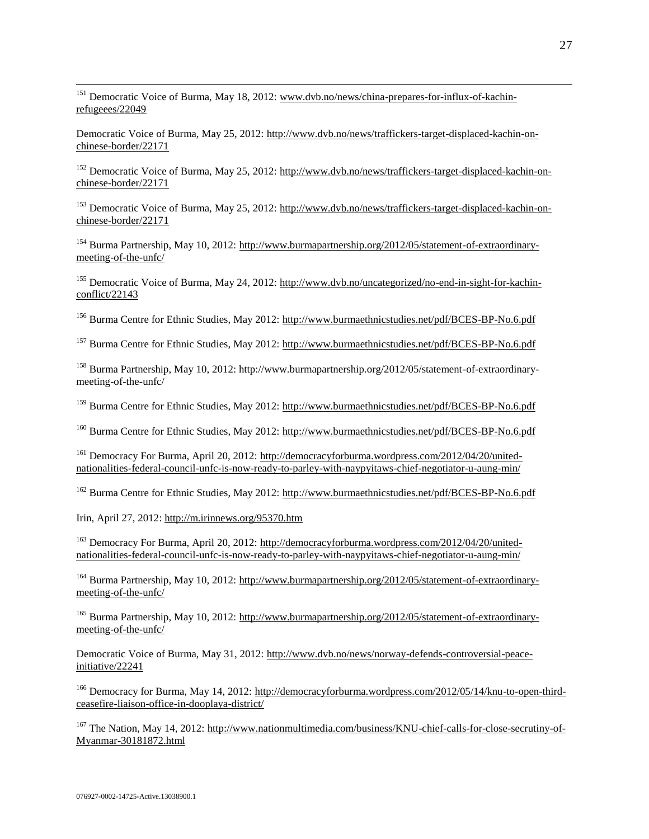<sup>151</sup> Democratic Voice of Burma, May 18, 2012: [www.dvb.no/news/china-prepares-for-influx-of-kachin](http://www.dvb.no/news/china-prepares-for-influx-of-kachin-refugeees/22049)[refugeees/22049](http://www.dvb.no/news/china-prepares-for-influx-of-kachin-refugeees/22049)

Democratic Voice of Burma, May 25, 2012[: http://www.dvb.no/news/traffickers-target-displaced-kachin-on](http://www.dvb.no/news/traffickers-target-displaced-kachin-on-chinese-border/22171)[chinese-border/22171](http://www.dvb.no/news/traffickers-target-displaced-kachin-on-chinese-border/22171)

<sup>152</sup> Democratic Voice of Burma, May 25, 2012: [http://www.dvb.no/news/traffickers-target-displaced-kachin-on](http://www.dvb.no/news/traffickers-target-displaced-kachin-on-chinese-border/22171)[chinese-border/22171](http://www.dvb.no/news/traffickers-target-displaced-kachin-on-chinese-border/22171)

<sup>153</sup> Democratic Voice of Burma, May 25, 2012: [http://www.dvb.no/news/traffickers-target-displaced-kachin-on](http://www.dvb.no/news/traffickers-target-displaced-kachin-on-chinese-border/22171)[chinese-border/22171](http://www.dvb.no/news/traffickers-target-displaced-kachin-on-chinese-border/22171)

<sup>154</sup> Burma Partnership, May 10, 2012[: http://www.burmapartnership.org/2012/05/statement-of-extraordinary](http://www.burmapartnership.org/2012/05/statement-of-extraordinary-meeting-of-the-unfc/)[meeting-of-the-unfc/](http://www.burmapartnership.org/2012/05/statement-of-extraordinary-meeting-of-the-unfc/)

<sup>155</sup> Democratic Voice of Burma, May 24, 2012: [http://www.dvb.no/uncategorized/no-end-in-sight-for-kachin](http://www.dvb.no/uncategorized/no-end-in-sight-for-kachin-conflict/22143)[conflict/22143](http://www.dvb.no/uncategorized/no-end-in-sight-for-kachin-conflict/22143)

<sup>156</sup> Burma Centre for Ethnic Studies, May 2012:<http://www.burmaethnicstudies.net/pdf/BCES-BP-No.6.pdf>

<sup>157</sup> Burma Centre for Ethnic Studies, May 2012:<http://www.burmaethnicstudies.net/pdf/BCES-BP-No.6.pdf>

<sup>158</sup> Burma Partnership, May 10, 2012: http://www.burmapartnership.org/2012/05/statement-of-extraordinarymeeting-of-the-unfc/

<sup>159</sup> Burma Centre for Ethnic Studies, May 2012:<http://www.burmaethnicstudies.net/pdf/BCES-BP-No.6.pdf>

<sup>160</sup> Burma Centre for Ethnic Studies, May 2012:<http://www.burmaethnicstudies.net/pdf/BCES-BP-No.6.pdf>

<sup>161</sup> Democracy For Burma, April 20, 2012: [http://democracyforburma.wordpress.com/2012/04/20/united](http://democracyforburma.wordpress.com/2012/04/20/united-nationalities-federal-council-unfc-is-now-ready-to-parley-with-naypyitaws-chief-negotiator-u-aung-min/)[nationalities-federal-council-unfc-is-now-ready-to-parley-with-naypyitaws-chief-negotiator-u-aung-min/](http://democracyforburma.wordpress.com/2012/04/20/united-nationalities-federal-council-unfc-is-now-ready-to-parley-with-naypyitaws-chief-negotiator-u-aung-min/)

<sup>162</sup> Burma Centre for Ethnic Studies, May 2012:<http://www.burmaethnicstudies.net/pdf/BCES-BP-No.6.pdf>

Irin, April 27, 2012:<http://m.irinnews.org/95370.htm>

 $\overline{a}$ 

<sup>163</sup> Democracy For Burma, April 20, 2012: [http://democracyforburma.wordpress.com/2012/04/20/united](http://democracyforburma.wordpress.com/2012/04/20/united-nationalities-federal-council-unfc-is-now-ready-to-parley-with-naypyitaws-chief-negotiator-u-aung-min/)[nationalities-federal-council-unfc-is-now-ready-to-parley-with-naypyitaws-chief-negotiator-u-aung-min/](http://democracyforburma.wordpress.com/2012/04/20/united-nationalities-federal-council-unfc-is-now-ready-to-parley-with-naypyitaws-chief-negotiator-u-aung-min/)

<sup>164</sup> Burma Partnership, May 10, 2012[: http://www.burmapartnership.org/2012/05/statement-of-extraordinary](http://www.burmapartnership.org/2012/05/statement-of-extraordinary-meeting-of-the-unfc/)[meeting-of-the-unfc/](http://www.burmapartnership.org/2012/05/statement-of-extraordinary-meeting-of-the-unfc/)

<sup>165</sup> Burma Partnership, May 10, 2012[: http://www.burmapartnership.org/2012/05/statement-of-extraordinary](http://www.burmapartnership.org/2012/05/statement-of-extraordinary-meeting-of-the-unfc/)[meeting-of-the-unfc/](http://www.burmapartnership.org/2012/05/statement-of-extraordinary-meeting-of-the-unfc/)

Democratic Voice of Burma, May 31, 2012[: http://www.dvb.no/news/norway-defends-controversial-peace](http://www.dvb.no/news/norway-defends-controversial-peace-initiative/22241)[initiative/22241](http://www.dvb.no/news/norway-defends-controversial-peace-initiative/22241)

<sup>166</sup> Democracy for Burma, May 14, 2012: [http://democracyforburma.wordpress.com/2012/05/14/knu-to-open-third](http://democracyforburma.wordpress.com/2012/05/14/knu-to-open-third-ceasefire-liaison-office-in-dooplaya-district/)[ceasefire-liaison-office-in-dooplaya-district/](http://democracyforburma.wordpress.com/2012/05/14/knu-to-open-third-ceasefire-liaison-office-in-dooplaya-district/)

<sup>167</sup> The Nation, May 14, 2012[: http://www.nationmultimedia.com/business/KNU-chief-calls-for-close-secrutiny-of-](http://www.nationmultimedia.com/business/KNU-chief-calls-for-close-secrutiny-of-Myanmar-30181872.html)[Myanmar-30181872.html](http://www.nationmultimedia.com/business/KNU-chief-calls-for-close-secrutiny-of-Myanmar-30181872.html)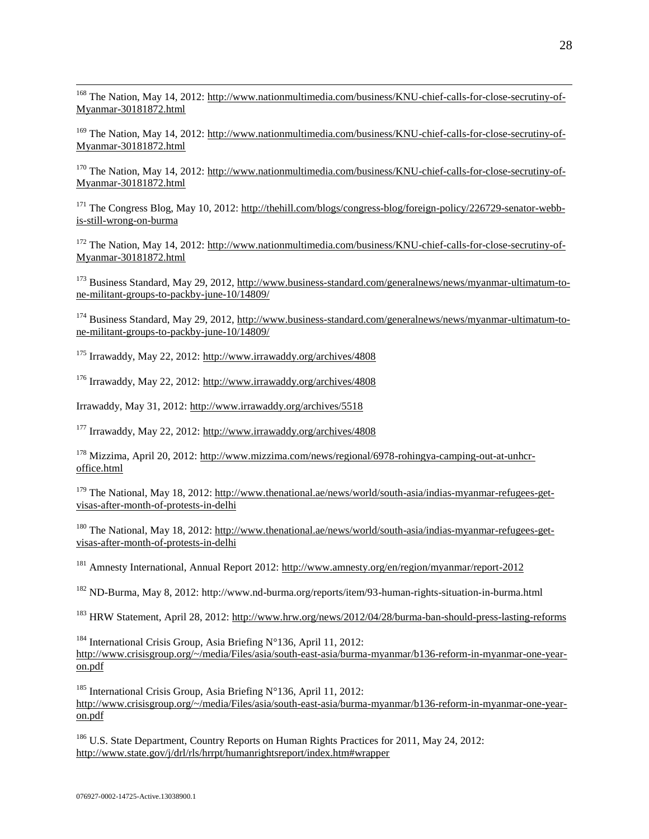<sup>168</sup> The Nation, May 14, 2012[: http://www.nationmultimedia.com/business/KNU-chief-calls-for-close-secrutiny-of-](http://www.nationmultimedia.com/business/KNU-chief-calls-for-close-secrutiny-of-Myanmar-30181872.html)[Myanmar-30181872.html](http://www.nationmultimedia.com/business/KNU-chief-calls-for-close-secrutiny-of-Myanmar-30181872.html)

<sup>169</sup> The Nation, May 14, 2012[: http://www.nationmultimedia.com/business/KNU-chief-calls-for-close-secrutiny-of-](http://www.nationmultimedia.com/business/KNU-chief-calls-for-close-secrutiny-of-Myanmar-30181872.html)[Myanmar-30181872.html](http://www.nationmultimedia.com/business/KNU-chief-calls-for-close-secrutiny-of-Myanmar-30181872.html)

<sup>170</sup> The Nation, May 14, 2012[: http://www.nationmultimedia.com/business/KNU-chief-calls-for-close-secrutiny-of-](http://www.nationmultimedia.com/business/KNU-chief-calls-for-close-secrutiny-of-Myanmar-30181872.html)[Myanmar-30181872.html](http://www.nationmultimedia.com/business/KNU-chief-calls-for-close-secrutiny-of-Myanmar-30181872.html)

<sup>171</sup> The Congress Blog, May 10, 2012[: http://thehill.com/blogs/congress-blog/foreign-policy/226729-senator-webb](http://thehill.com/blogs/congress-blog/foreign-policy/226729-senator-webb-is-still-wrong-on-burma)[is-still-wrong-on-burma](http://thehill.com/blogs/congress-blog/foreign-policy/226729-senator-webb-is-still-wrong-on-burma)

<sup>172</sup> The Nation, May 14, 2012[: http://www.nationmultimedia.com/business/KNU-chief-calls-for-close-secrutiny-of-](http://www.nationmultimedia.com/business/KNU-chief-calls-for-close-secrutiny-of-Myanmar-30181872.html)[Myanmar-30181872.html](http://www.nationmultimedia.com/business/KNU-chief-calls-for-close-secrutiny-of-Myanmar-30181872.html)

<sup>173</sup> Business Standard, May 29, 2012[, http://www.business-standard.com/generalnews/news/myanmar-ultimatum-to](http://www.business-standard.com/generalnews/news/myanmar-ultimatum-to-ne-militant-groups-to-packby-june-10/14809/)[ne-militant-groups-to-packby-june-10/14809/](http://www.business-standard.com/generalnews/news/myanmar-ultimatum-to-ne-militant-groups-to-packby-june-10/14809/)

<sup>174</sup> Business Standard, May 29, 2012[, http://www.business-standard.com/generalnews/news/myanmar-ultimatum-to](http://www.business-standard.com/generalnews/news/myanmar-ultimatum-to-ne-militant-groups-to-packby-june-10/14809/)[ne-militant-groups-to-packby-june-10/14809/](http://www.business-standard.com/generalnews/news/myanmar-ultimatum-to-ne-militant-groups-to-packby-june-10/14809/)

<sup>175</sup> Irrawaddy, May 22, 2012:<http://www.irrawaddy.org/archives/4808>

<sup>176</sup> Irrawaddy, May 22, 2012:<http://www.irrawaddy.org/archives/4808>

Irrawaddy, May 31, 2012:<http://www.irrawaddy.org/archives/5518>

<sup>177</sup> Irrawaddy, May 22, 2012:<http://www.irrawaddy.org/archives/4808>

<sup>178</sup> Mizzima, April 20, 2012[: http://www.mizzima.com/news/regional/6978-rohingya-camping-out-at-unhcr](http://www.mizzima.com/news/regional/6978-rohingya-camping-out-at-unhcr-office.html)[office.html](http://www.mizzima.com/news/regional/6978-rohingya-camping-out-at-unhcr-office.html)

<sup>179</sup> The National, May 18, 2012: [http://www.thenational.ae/news/world/south-asia/indias-myanmar-refugees-get](http://www.thenational.ae/news/world/south-asia/indias-myanmar-refugees-get-visas-after-month-of-protests-in-delhi)[visas-after-month-of-protests-in-delhi](http://www.thenational.ae/news/world/south-asia/indias-myanmar-refugees-get-visas-after-month-of-protests-in-delhi)

<sup>180</sup> The National, May 18, 2012: [http://www.thenational.ae/news/world/south-asia/indias-myanmar-refugees-get](http://www.thenational.ae/news/world/south-asia/indias-myanmar-refugees-get-visas-after-month-of-protests-in-delhi)[visas-after-month-of-protests-in-delhi](http://www.thenational.ae/news/world/south-asia/indias-myanmar-refugees-get-visas-after-month-of-protests-in-delhi)

<sup>181</sup> Amnesty International, Annual Report 2012:<http://www.amnesty.org/en/region/myanmar/report-2012>

<sup>182</sup> ND-Burma, May 8, 2012: http://www.nd-burma.org/reports/item/93-human-rights-situation-in-burma.html

<sup>183</sup> HRW Statement, April 28, 2012:<http://www.hrw.org/news/2012/04/28/burma-ban-should-press-lasting-reforms>

<sup>184</sup> International Crisis Group, Asia Briefing N°136, April 11, 2012: [http://www.crisisgroup.org/~/media/Files/asia/south-east-asia/burma-myanmar/b136-reform-in-myanmar-one-year](http://www.crisisgroup.org/~/media/Files/asia/south-east-asia/burma-myanmar/b136-reform-in-myanmar-one-year-on.pdf)[on.pdf](http://www.crisisgroup.org/~/media/Files/asia/south-east-asia/burma-myanmar/b136-reform-in-myanmar-one-year-on.pdf)

185 International Crisis Group, Asia Briefing N°136, April 11, 2012: [http://www.crisisgroup.org/~/media/Files/asia/south-east-asia/burma-myanmar/b136-reform-in-myanmar-one-year](http://www.crisisgroup.org/~/media/Files/asia/south-east-asia/burma-myanmar/b136-reform-in-myanmar-one-year-on.pdf)[on.pdf](http://www.crisisgroup.org/~/media/Files/asia/south-east-asia/burma-myanmar/b136-reform-in-myanmar-one-year-on.pdf)

<sup>186</sup> U.S. State Department, Country Reports on Human Rights Practices for 2011, May 24, 2012: <http://www.state.gov/j/drl/rls/hrrpt/humanrightsreport/index.htm#wrapper>

 $\overline{a}$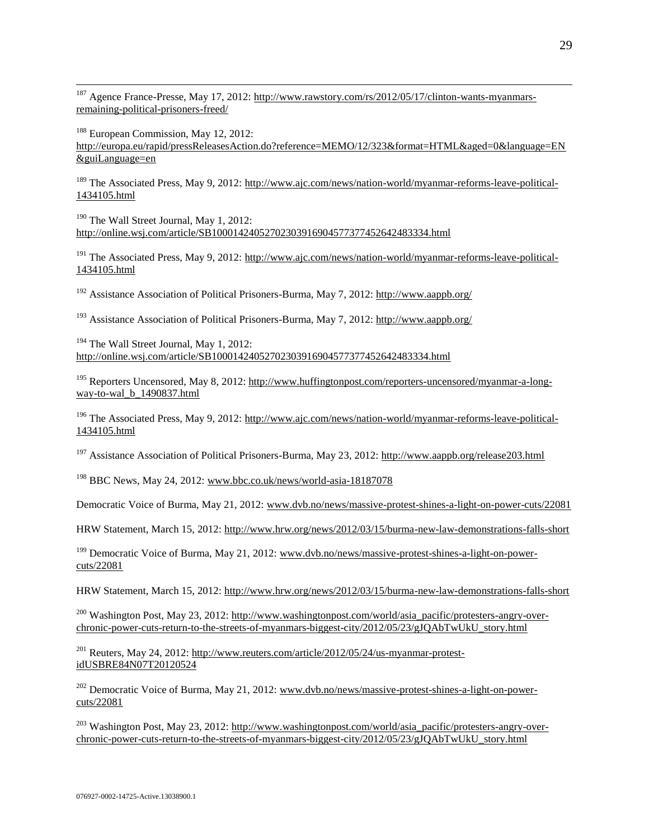<sup>187</sup> Agence France-Presse, May 17, 2012[: http://www.rawstory.com/rs/2012/05/17/clinton-wants-myanmars](http://www.rawstory.com/rs/2012/05/17/clinton-wants-myanmars-remaining-political-prisoners-freed/)[remaining-political-prisoners-freed/](http://www.rawstory.com/rs/2012/05/17/clinton-wants-myanmars-remaining-political-prisoners-freed/)

<sup>188</sup> European Commission, May 12, 2012: [http://europa.eu/rapid/pressReleasesAction.do?reference=MEMO/12/323&format=HTML&aged=0&language=EN](http://europa.eu/rapid/pressReleasesAction.do?reference=MEMO/12/323&format=HTML&aged=0&language=EN&guiLanguage=en) [&guiLanguage=en](http://europa.eu/rapid/pressReleasesAction.do?reference=MEMO/12/323&format=HTML&aged=0&language=EN&guiLanguage=en)

<sup>189</sup> The Associated Press, May 9, 2012: [http://www.ajc.com/news/nation-world/myanmar-reforms-leave-political-](http://www.ajc.com/news/nation-world/myanmar-reforms-leave-political-1434105.html)[1434105.html](http://www.ajc.com/news/nation-world/myanmar-reforms-leave-political-1434105.html)

 $190$  The Wall Street Journal, May 1, 2012: <http://online.wsj.com/article/SB10001424052702303916904577377452642483334.html>

<sup>191</sup> The Associated Press, May 9, 2012: [http://www.ajc.com/news/nation-world/myanmar-reforms-leave-political-](http://www.ajc.com/news/nation-world/myanmar-reforms-leave-political-1434105.html)[1434105.html](http://www.ajc.com/news/nation-world/myanmar-reforms-leave-political-1434105.html)

<sup>192</sup> Assistance Association of Political Prisoners-Burma, May 7, 2012:<http://www.aappb.org/>

<sup>193</sup> Assistance Association of Political Prisoners-Burma, May 7, 2012:<http://www.aappb.org/>

<sup>194</sup> The Wall Street Journal, May 1, 2012: <http://online.wsj.com/article/SB10001424052702303916904577377452642483334.html>

<sup>195</sup> Reporters Uncensored, May 8, 2012[: http://www.huffingtonpost.com/reporters-uncensored/myanmar-a-long](http://www.huffingtonpost.com/reporters-uncensored/myanmar-a-long-way-to-wal_b_1490837.html)[way-to-wal\\_b\\_1490837.html](http://www.huffingtonpost.com/reporters-uncensored/myanmar-a-long-way-to-wal_b_1490837.html)

<sup>196</sup> The Associated Press, May 9, 2012: [http://www.ajc.com/news/nation-world/myanmar-reforms-leave-political-](http://www.ajc.com/news/nation-world/myanmar-reforms-leave-political-1434105.html)[1434105.html](http://www.ajc.com/news/nation-world/myanmar-reforms-leave-political-1434105.html)

<sup>197</sup> Assistance Association of Political Prisoners-Burma, May 23, 2012:<http://www.aappb.org/release203.html>

<sup>198</sup> BBC News, May 24, 2012[: www.bbc.co.uk/news/world-asia-18187078](http://www.bbc.co.uk/news/world-asia-18187078)

Democratic Voice of Burma, May 21, 2012[: www.dvb.no/news/massive-protest-shines-a-light-on-power-cuts/22081](http://www.dvb.no/news/massive-protest-shines-a-light-on-power-cuts/22081)

HRW Statement, March 15, 2012[: http://www.hrw.org/news/2012/03/15/burma-new-law-demonstrations-falls-short](http://www.hrw.org/news/2012/03/15/burma-new-law-demonstrations-falls-short)

<sup>199</sup> Democratic Voice of Burma, May 21, 2012: [www.dvb.no/news/massive-protest-shines-a-light-on-power](http://www.dvb.no/news/massive-protest-shines-a-light-on-power-cuts/22081)[cuts/22081](http://www.dvb.no/news/massive-protest-shines-a-light-on-power-cuts/22081)

HRW Statement, March 15, 2012[: http://www.hrw.org/news/2012/03/15/burma-new-law-demonstrations-falls-short](http://www.hrw.org/news/2012/03/15/burma-new-law-demonstrations-falls-short)

<sup>200</sup> Washington Post, May 23, 2012: [http://www.washingtonpost.com/world/asia\\_pacific/protesters-angry-over](http://www.washingtonpost.com/world/asia_pacific/protesters-angry-over-chronic-power-cuts-return-to-the-streets-of-myanmars-biggest-city/2012/05/23/gJQAbTwUkU_story.html)[chronic-power-cuts-return-to-the-streets-of-myanmars-biggest-city/2012/05/23/gJQAbTwUkU\\_story.html](http://www.washingtonpost.com/world/asia_pacific/protesters-angry-over-chronic-power-cuts-return-to-the-streets-of-myanmars-biggest-city/2012/05/23/gJQAbTwUkU_story.html)

 $^{201}$  Reuters, May 24, 2012: [http://www.reuters.com/article/2012/05/24/us-myanmar-protest](http://www.reuters.com/article/2012/05/24/us-myanmar-protest-idUSBRE84N07T20120524)[idUSBRE84N07T20120524](http://www.reuters.com/article/2012/05/24/us-myanmar-protest-idUSBRE84N07T20120524)

<sup>202</sup> Democratic Voice of Burma, May 21, 2012: [www.dvb.no/news/massive-protest-shines-a-light-on-power](http://www.dvb.no/news/massive-protest-shines-a-light-on-power-cuts/22081)[cuts/22081](http://www.dvb.no/news/massive-protest-shines-a-light-on-power-cuts/22081)

<sup>203</sup> Washington Post, May 23, 2012: [http://www.washingtonpost.com/world/asia\\_pacific/protesters-angry-over](http://www.washingtonpost.com/world/asia_pacific/protesters-angry-over-chronic-power-cuts-return-to-the-streets-of-myanmars-biggest-city/2012/05/23/gJQAbTwUkU_story.html)[chronic-power-cuts-return-to-the-streets-of-myanmars-biggest-city/2012/05/23/gJQAbTwUkU\\_story.html](http://www.washingtonpost.com/world/asia_pacific/protesters-angry-over-chronic-power-cuts-return-to-the-streets-of-myanmars-biggest-city/2012/05/23/gJQAbTwUkU_story.html)

 $\overline{a}$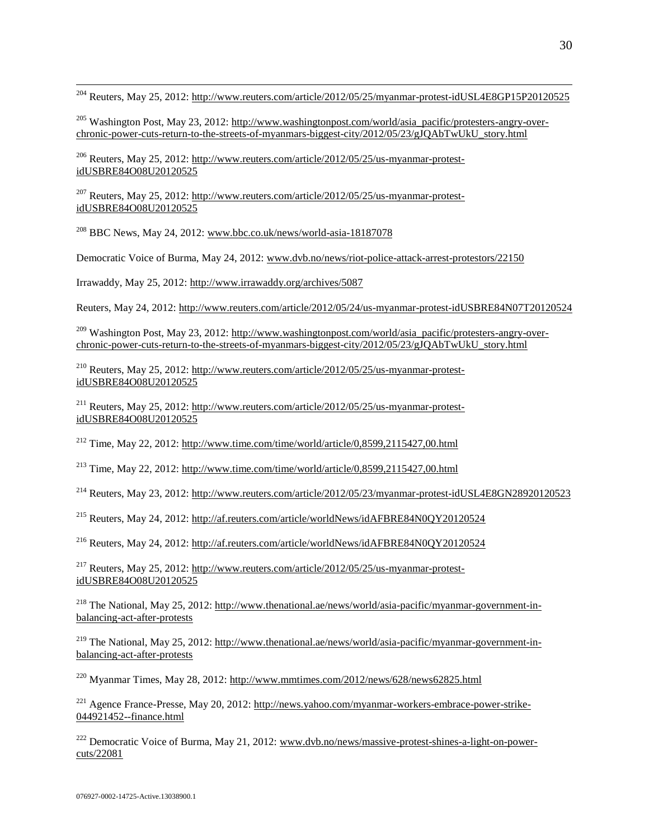$\overline{a}$ <sup>204</sup> Reuters, May 25, 2012:<http://www.reuters.com/article/2012/05/25/myanmar-protest-idUSL4E8GP15P20120525>

<sup>205</sup> Washington Post, May 23, 2012: [http://www.washingtonpost.com/world/asia\\_pacific/protesters-angry-over](http://www.washingtonpost.com/world/asia_pacific/protesters-angry-over-chronic-power-cuts-return-to-the-streets-of-myanmars-biggest-city/2012/05/23/gJQAbTwUkU_story.html)[chronic-power-cuts-return-to-the-streets-of-myanmars-biggest-city/2012/05/23/gJQAbTwUkU\\_story.html](http://www.washingtonpost.com/world/asia_pacific/protesters-angry-over-chronic-power-cuts-return-to-the-streets-of-myanmars-biggest-city/2012/05/23/gJQAbTwUkU_story.html)

<sup>206</sup> Reuters, May 25, 2012: [http://www.reuters.com/article/2012/05/25/us-myanmar-protest](http://www.reuters.com/article/2012/05/25/us-myanmar-protest-idUSBRE84O08U20120525)[idUSBRE84O08U20120525](http://www.reuters.com/article/2012/05/25/us-myanmar-protest-idUSBRE84O08U20120525)

<sup>207</sup> Reuters, May 25, 2012: [http://www.reuters.com/article/2012/05/25/us-myanmar-protest](http://www.reuters.com/article/2012/05/25/us-myanmar-protest-idUSBRE84O08U20120525)[idUSBRE84O08U20120525](http://www.reuters.com/article/2012/05/25/us-myanmar-protest-idUSBRE84O08U20120525)

 $^{208}$  BBC News, May 24, 2012[: www.bbc.co.uk/news/world-asia-18187078](http://www.bbc.co.uk/news/world-asia-18187078)

Democratic Voice of Burma, May 24, 2012[: www.dvb.no/news/riot-police-attack-arrest-protestors/22150](http://www.dvb.no/news/riot-police-attack-arrest-protestors/22150)

Irrawaddy, May 25, 2012:<http://www.irrawaddy.org/archives/5087>

Reuters, May 24, 2012[: http://www.reuters.com/article/2012/05/24/us-myanmar-protest-idUSBRE84N07T20120524](http://www.reuters.com/article/2012/05/24/us-myanmar-protest-idUSBRE84N07T20120524)

<sup>209</sup> Washington Post, May 23, 2012: [http://www.washingtonpost.com/world/asia\\_pacific/protesters-angry-over](http://www.washingtonpost.com/world/asia_pacific/protesters-angry-over-chronic-power-cuts-return-to-the-streets-of-myanmars-biggest-city/2012/05/23/gJQAbTwUkU_story.html)[chronic-power-cuts-return-to-the-streets-of-myanmars-biggest-city/2012/05/23/gJQAbTwUkU\\_story.html](http://www.washingtonpost.com/world/asia_pacific/protesters-angry-over-chronic-power-cuts-return-to-the-streets-of-myanmars-biggest-city/2012/05/23/gJQAbTwUkU_story.html)

<sup>210</sup> Reuters, May 25, 2012: [http://www.reuters.com/article/2012/05/25/us-myanmar-protest](http://www.reuters.com/article/2012/05/25/us-myanmar-protest-idUSBRE84O08U20120525)[idUSBRE84O08U20120525](http://www.reuters.com/article/2012/05/25/us-myanmar-protest-idUSBRE84O08U20120525)

<sup>211</sup> Reuters, May 25, 2012: [http://www.reuters.com/article/2012/05/25/us-myanmar-protest](http://www.reuters.com/article/2012/05/25/us-myanmar-protest-idUSBRE84O08U20120525)[idUSBRE84O08U20120525](http://www.reuters.com/article/2012/05/25/us-myanmar-protest-idUSBRE84O08U20120525)

<sup>212</sup> Time, May 22, 2012:<http://www.time.com/time/world/article/0,8599,2115427,00.html>

<sup>213</sup> Time, May 22, 2012: http://www.time.com/time/world/article/0,8599.2115427.00.html

<sup>214</sup> Reuters, May 23, 2012:<http://www.reuters.com/article/2012/05/23/myanmar-protest-idUSL4E8GN28920120523>

<sup>215</sup> Reuters, May 24, 2012:<http://af.reuters.com/article/worldNews/idAFBRE84N0QY20120524>

<sup>216</sup> Reuters, May 24, 2012:<http://af.reuters.com/article/worldNews/idAFBRE84N0QY20120524>

 $^{217}$  Reuters, May 25, 2012: [http://www.reuters.com/article/2012/05/25/us-myanmar-protest](http://www.reuters.com/article/2012/05/25/us-myanmar-protest-idUSBRE84O08U20120525)[idUSBRE84O08U20120525](http://www.reuters.com/article/2012/05/25/us-myanmar-protest-idUSBRE84O08U20120525)

<sup>218</sup> The National, May 25, 2012: [http://www.thenational.ae/news/world/asia-pacific/myanmar-government-in](http://www.thenational.ae/news/world/asia-pacific/myanmar-government-in-balancing-act-after-protests)[balancing-act-after-protests](http://www.thenational.ae/news/world/asia-pacific/myanmar-government-in-balancing-act-after-protests)

<sup>219</sup> The National, May 25, 2012: [http://www.thenational.ae/news/world/asia-pacific/myanmar-government-in](http://www.thenational.ae/news/world/asia-pacific/myanmar-government-in-balancing-act-after-protests)[balancing-act-after-protests](http://www.thenational.ae/news/world/asia-pacific/myanmar-government-in-balancing-act-after-protests)

<sup>220</sup> Myanmar Times, May 28, 2012[: http://www.mmtimes.com/2012/news/628/news62825.html](http://www.mmtimes.com/2012/news/628/news62825.html)

<sup>221</sup> Agence France-Presse, May 20, 2012[: http://news.yahoo.com/myanmar-workers-embrace-power-strike-](http://news.yahoo.com/myanmar-workers-embrace-power-strike-044921452--finance.html)[044921452--finance.html](http://news.yahoo.com/myanmar-workers-embrace-power-strike-044921452--finance.html)

 $^{222}$  Democratic Voice of Burma, May 21, 2012: [www.dvb.no/news/massive-protest-shines-a-light-on-power](http://www.dvb.no/news/massive-protest-shines-a-light-on-power-cuts/22081)[cuts/22081](http://www.dvb.no/news/massive-protest-shines-a-light-on-power-cuts/22081)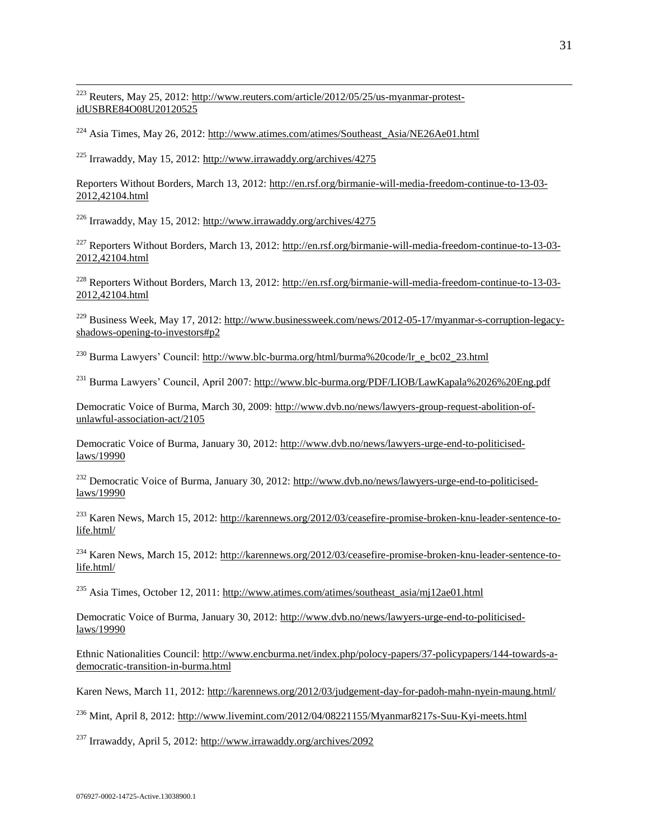<sup>223</sup> Reuters, May 25, 2012: [http://www.reuters.com/article/2012/05/25/us-myanmar-protest](http://www.reuters.com/article/2012/05/25/us-myanmar-protest-idUSBRE84O08U20120525)[idUSBRE84O08U20120525](http://www.reuters.com/article/2012/05/25/us-myanmar-protest-idUSBRE84O08U20120525)

<sup>224</sup> Asia Times, May 26, 2012: [http://www.atimes.com/atimes/Southeast\\_Asia/NE26Ae01.html](http://www.atimes.com/atimes/Southeast_Asia/NE26Ae01.html)

<sup>225</sup> Irrawaddy, May 15, 2012:<http://www.irrawaddy.org/archives/4275>

 $\overline{a}$ 

Reporters Without Borders, March 13, 2012: [http://en.rsf.org/birmanie-will-media-freedom-continue-to-13-03-](http://en.rsf.org/birmanie-will-media-freedom-continue-to-13-03-2012,42104.html) [2012,42104.html](http://en.rsf.org/birmanie-will-media-freedom-continue-to-13-03-2012,42104.html)

<sup>226</sup> Irrawaddy, May 15, 2012:<http://www.irrawaddy.org/archives/4275>

<sup>227</sup> Reporters Without Borders, March 13, 2012: [http://en.rsf.org/birmanie-will-media-freedom-continue-to-13-03-](http://en.rsf.org/birmanie-will-media-freedom-continue-to-13-03-2012,42104.html) [2012,42104.html](http://en.rsf.org/birmanie-will-media-freedom-continue-to-13-03-2012,42104.html)

<sup>228</sup> Reporters Without Borders, March 13, 2012: [http://en.rsf.org/birmanie-will-media-freedom-continue-to-13-03-](http://en.rsf.org/birmanie-will-media-freedom-continue-to-13-03-2012,42104.html) [2012,42104.html](http://en.rsf.org/birmanie-will-media-freedom-continue-to-13-03-2012,42104.html)

<sup>229</sup> Business Week, May 17, 2012[: http://www.businessweek.com/news/2012-05-17/myanmar-s-corruption-legacy](http://www.businessweek.com/news/2012-05-17/myanmar-s-corruption-legacy-shadows-opening-to-investors#p2)[shadows-opening-to-investors#p2](http://www.businessweek.com/news/2012-05-17/myanmar-s-corruption-legacy-shadows-opening-to-investors#p2) 

<sup>230</sup> Burma Lawyers' Council: http://www.blc-burma.org/html/burma%20code/lr\_e\_bc02\_23.html

<sup>231</sup> Burma Lawyers' Council, April 2007:<http://www.blc-burma.org/PDF/LIOB/LawKapala%2026%20Eng.pdf>

Democratic Voice of Burma, March 30, 2009: [http://www.dvb.no/news/lawyers-group-request-abolition-of](http://www.dvb.no/news/lawyers-group-request-abolition-of-unlawful-association-act/2105)[unlawful-association-act/2105](http://www.dvb.no/news/lawyers-group-request-abolition-of-unlawful-association-act/2105)

Democratic Voice of Burma, January 30, 2012: [http://www.dvb.no/news/lawyers-urge-end-to-politicised](http://www.dvb.no/news/lawyers-urge-end-to-politicised-laws/19990)[laws/19990](http://www.dvb.no/news/lawyers-urge-end-to-politicised-laws/19990)

<sup>232</sup> Democratic Voice of Burma, January 30, 2012[: http://www.dvb.no/news/lawyers-urge-end-to-politicised](http://www.dvb.no/news/lawyers-urge-end-to-politicised-laws/19990)[laws/19990](http://www.dvb.no/news/lawyers-urge-end-to-politicised-laws/19990)

<sup>233</sup> Karen News, March 15, 2012: [http://karennews.org/2012/03/ceasefire-promise-broken-knu-leader-sentence-to](http://karennews.org/2012/03/ceasefire-promise-broken-knu-leader-sentence-to-life.html/)[life.html/](http://karennews.org/2012/03/ceasefire-promise-broken-knu-leader-sentence-to-life.html/) 

<sup>234</sup> Karen News, March 15, 2012: [http://karennews.org/2012/03/ceasefire-promise-broken-knu-leader-sentence-to](http://karennews.org/2012/03/ceasefire-promise-broken-knu-leader-sentence-to-life.html/)[life.html/](http://karennews.org/2012/03/ceasefire-promise-broken-knu-leader-sentence-to-life.html/) 

<sup>235</sup> Asia Times, October 12, 2011: http://www.atimes.com/atimes/southeast\_asia/mj12ae01.html

Democratic Voice of Burma, January 30, 2012: [http://www.dvb.no/news/lawyers-urge-end-to-politicised](http://www.dvb.no/news/lawyers-urge-end-to-politicised-laws/19990)[laws/19990](http://www.dvb.no/news/lawyers-urge-end-to-politicised-laws/19990)

Ethnic Nationalities Council: [http://www.encburma.net/index.php/polocy-papers/37-policypapers/144-towards-a](http://www.encburma.net/index.php/polocy-papers/37-policypapers/144-towards-a-democratic-transition-in-burma.html)[democratic-transition-in-burma.html](http://www.encburma.net/index.php/polocy-papers/37-policypapers/144-towards-a-democratic-transition-in-burma.html) 

Karen News, March 11, 2012[: http://karennews.org/2012/03/judgement-day-for-padoh-mahn-nyein-maung.html/](http://karennews.org/2012/03/judgement-day-for-padoh-mahn-nyein-maung.html/) 

<sup>236</sup> Mint, April 8, 2012[: http://www.livemint.com/2012/04/08221155/Myanmar8217s-Suu-Kyi-meets.html](http://www.livemint.com/2012/04/08221155/Myanmar8217s-Suu-Kyi-meets.html)

<sup>237</sup> Irrawaddy, April 5, 2012:<http://www.irrawaddy.org/archives/2092>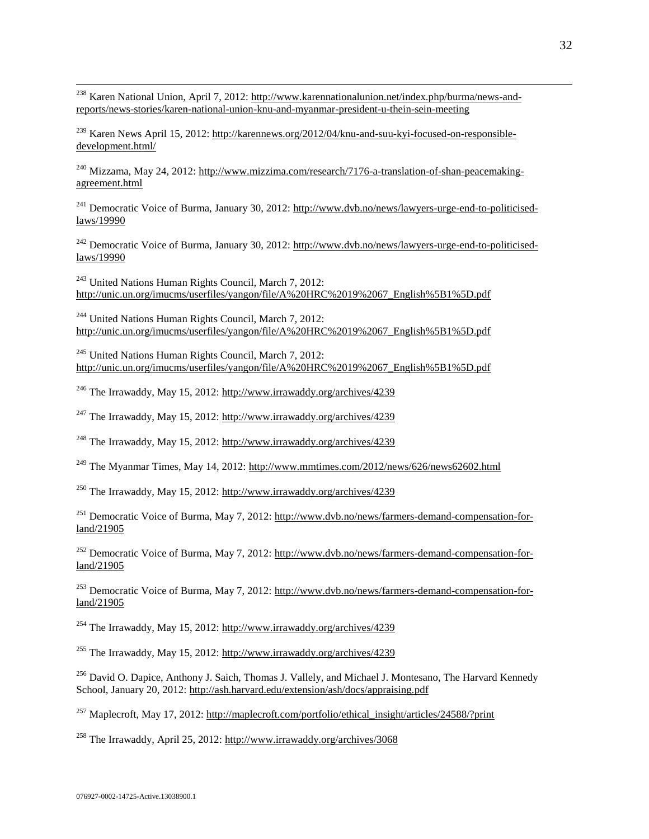<sup>238</sup> Karen National Union, April 7, 2012: [http://www.karennationalunion.net/index.php/burma/news-and](http://www.karennationalunion.net/index.php/burma/news-and-reports/news-stories/karen-national-union-knu-and-myanmar-president-u-thein-sein-meeting)[reports/news-stories/karen-national-union-knu-and-myanmar-president-u-thein-sein-meeting](http://www.karennationalunion.net/index.php/burma/news-and-reports/news-stories/karen-national-union-knu-and-myanmar-president-u-thein-sein-meeting)

<sup>239</sup> Karen News April 15, 2012: [http://karennews.org/2012/04/knu-and-suu-kyi-focused-on-responsible](http://karennews.org/2012/04/knu-and-suu-kyi-focused-on-responsible-development.html/)[development.html/](http://karennews.org/2012/04/knu-and-suu-kyi-focused-on-responsible-development.html/)

<sup>240</sup> Mizzama, May 24, 2012[: http://www.mizzima.com/research/7176-a-translation-of-shan-peacemaking](http://www.mizzima.com/research/7176-a-translation-of-shan-peacemaking-agreement.html)[agreement.html](http://www.mizzima.com/research/7176-a-translation-of-shan-peacemaking-agreement.html) 

<sup>241</sup> Democratic Voice of Burma, January 30, 2012[: http://www.dvb.no/news/lawyers-urge-end-to-politicised](http://www.dvb.no/news/lawyers-urge-end-to-politicised-laws/19990)[laws/19990](http://www.dvb.no/news/lawyers-urge-end-to-politicised-laws/19990)

<sup>242</sup> Democratic Voice of Burma, January 30, 2012[: http://www.dvb.no/news/lawyers-urge-end-to-politicised](http://www.dvb.no/news/lawyers-urge-end-to-politicised-laws/19990)[laws/19990](http://www.dvb.no/news/lawyers-urge-end-to-politicised-laws/19990)

<sup>243</sup> United Nations Human Rights Council, March 7, 2012: [http://unic.un.org/imucms/userfiles/yangon/file/A%20HRC%2019%2067\\_English%5B1%5D.pdf](http://unic.un.org/imucms/userfiles/yangon/file/A%20HRC%2019%2067_English%5B1%5D.pdf)

 $^{244}$  United Nations Human Rights Council, March 7, 2012: [http://unic.un.org/imucms/userfiles/yangon/file/A%20HRC%2019%2067\\_English%5B1%5D.pdf](http://unic.un.org/imucms/userfiles/yangon/file/A%20HRC%2019%2067_English%5B1%5D.pdf)

<sup>245</sup> United Nations Human Rights Council, March 7, 2012: [http://unic.un.org/imucms/userfiles/yangon/file/A%20HRC%2019%2067\\_English%5B1%5D.pdf](http://unic.un.org/imucms/userfiles/yangon/file/A%20HRC%2019%2067_English%5B1%5D.pdf)

<sup>246</sup> The Irrawaddy, May 15, 2012:<http://www.irrawaddy.org/archives/4239>

 $247$  The Irrawaddy, May 15, 2012:<http://www.irrawaddy.org/archives/4239>

<sup>248</sup> The Irrawaddy, May 15, 2012:<http://www.irrawaddy.org/archives/4239>

<sup>249</sup> The Myanmar Times, May 14, 2012:<http://www.mmtimes.com/2012/news/626/news62602.html>

<sup>250</sup> The Irrawaddy, May 15, 2012:<http://www.irrawaddy.org/archives/4239>

<sup>251</sup> Democratic Voice of Burma, May 7, 2012: [http://www.dvb.no/news/farmers-demand-compensation-for](http://www.dvb.no/news/farmers-demand-compensation-for-land/21905)[land/21905](http://www.dvb.no/news/farmers-demand-compensation-for-land/21905)

<sup>252</sup> Democratic Voice of Burma, May 7, 2012: [http://www.dvb.no/news/farmers-demand-compensation-for](http://www.dvb.no/news/farmers-demand-compensation-for-land/21905)[land/21905](http://www.dvb.no/news/farmers-demand-compensation-for-land/21905)

 $^{253}$  Democratic Voice of Burma, May 7, 2012: [http://www.dvb.no/news/farmers-demand-compensation-for](http://www.dvb.no/news/farmers-demand-compensation-for-land/21905)[land/21905](http://www.dvb.no/news/farmers-demand-compensation-for-land/21905)

<sup>254</sup> The Irrawaddy, May 15, 2012:<http://www.irrawaddy.org/archives/4239>

<sup>255</sup> The Irrawaddy, May 15, 2012:<http://www.irrawaddy.org/archives/4239>

<sup>256</sup> David O. Dapice, Anthony J. Saich, Thomas J. Vallely, and Michael J. Montesano, The Harvard Kennedy School, January 20, 2012[: http://ash.harvard.edu/extension/ash/docs/appraising.pdf](http://ash.harvard.edu/extension/ash/docs/appraising.pdf)

<sup>257</sup> Maplecroft, May 17, 2012: [http://maplecroft.com/portfolio/ethical\\_insight/articles/24588/?print](http://maplecroft.com/portfolio/ethical_insight/articles/24588/?print)

<sup>258</sup> The Irrawaddy, April 25, 2012:<http://www.irrawaddy.org/archives/3068>

 $\overline{a}$